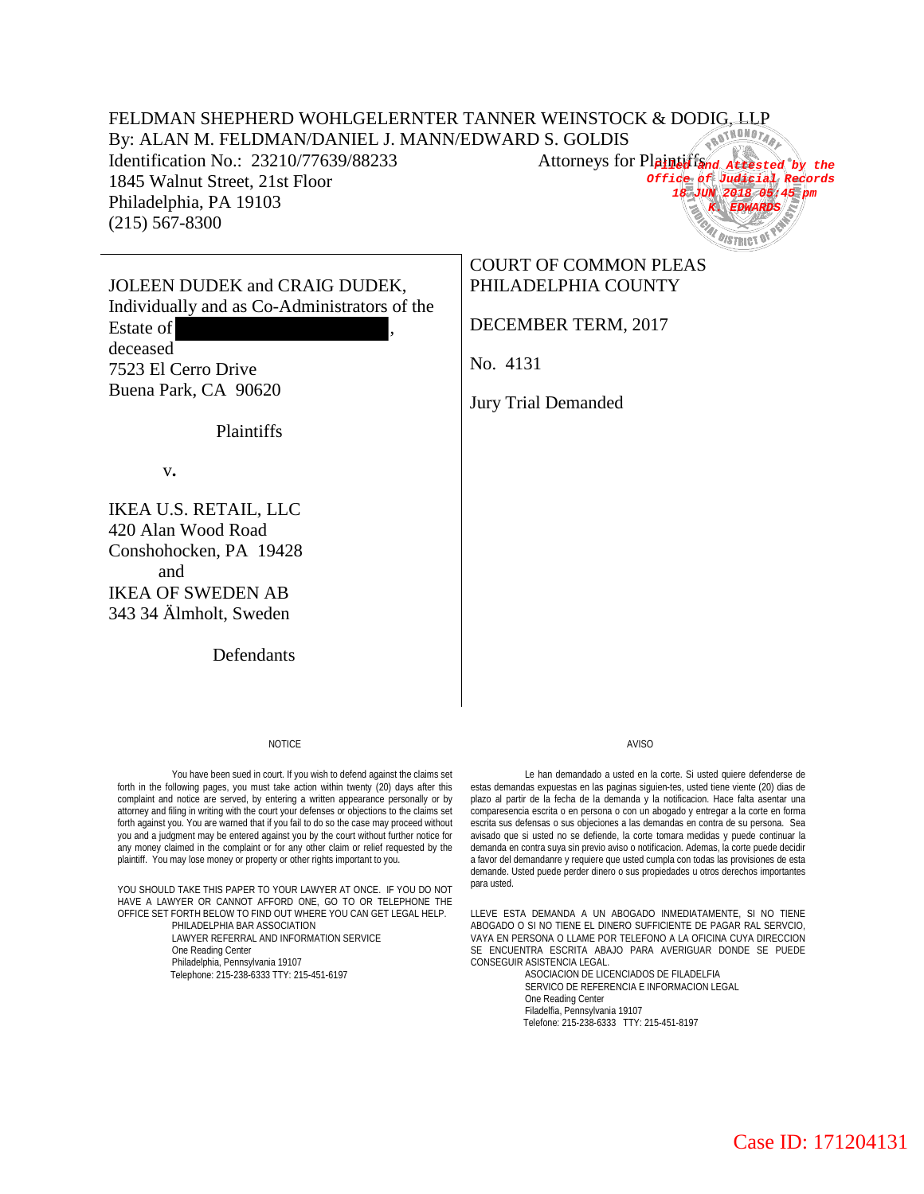## FELDMAN SHEPHERD WOHLGELERNTER TANNER WEINSTOCK & DODIG, LLP<br>By: ALAN M. FELDMAN/DANIEL J. MANN/EDWARD S. GOLDIS By: ALAN M. FELDMAN/DANIEL J. MANN/EDWARD S. GOLDIS

Identification No.: 23210/77639/88233 1845 Walnut Street, 21st Floor Philadelphia, PA 19103 (215) 567-8300



JOLEEN DUDEK and CRAIG DUDEK, Individually and as Co-Administrators of the Estate of deceased 7523 El Cerro Drive

Plaintiffs

# COURT OF COMMON PLEAS PHILADELPHIA COUNTY

DECEMBER TERM, 2017

No. 4131

Jury Trial Demanded

v**.** 

Buena Park, CA 90620

IKEA U.S. RETAIL, LLC 420 Alan Wood Road Conshohocken, PA 19428 and IKEA OF SWEDEN AB 343 34 Älmholt, Sweden

Defendants

#### **NOTICE**

You have been sued in court. If you wish to defend against the claims set forth in the following pages, you must take action within twenty (20) days after this complaint and notice are served, by entering a written appearance personally or by attorney and filing in writing with the court your defenses or objections to the claims set forth against you. You are warned that if you fail to do so the case may proceed without you and a judgment may be entered against you by the court without further notice for any money claimed in the complaint or for any other claim or relief requested by the plaintiff. You may lose money or property or other rights important to you.

YOU SHOULD TAKE THIS PAPER TO YOUR LAWYER AT ONCE. IF YOU DO NOT HAVE A LAWYER OR CANNOT AFFORD ONE, GO TO OR TELEPHONE THE OFFICE SET FORTH BELOW TO FIND OUT WHERE YOU CAN GET LEGAL HELP.

PHILADELPHIA BAR ASSOCIATION LAWYER REFERRAL AND INFORMATION SERVICE One Reading Center Philadelphia, Pennsylvania 19107 Telephone: 215-238-6333 TTY: 215-451-6197

#### AVISO

Le han demandado a usted en la corte. Si usted quiere defenderse de estas demandas expuestas en las paginas siguien-tes, usted tiene viente (20) dias de plazo al partir de la fecha de la demanda y la notificacion. Hace falta asentar una comparesencia escrita o en persona o con un abogado y entregar a la corte en forma escrita sus defensas o sus objeciones a las demandas en contra de su persona. Sea avisado que si usted no se defiende, la corte tomara medidas y puede continuar la demanda en contra suya sin previo aviso o notificacion. Ademas, la corte puede decidir a favor del demandanre y requiere que usted cumpla con todas las provisiones de esta demande. Usted puede perder dinero o sus propiedades u otros derechos importantes para usted.

LLEVE ESTA DEMANDA A UN ABOGADO INMEDIATAMENTE, SI NO TIENE ABOGADO O SI NO TIENE EL DINERO SUFFICIENTE DE PAGAR RAL SERVCIO, VAYA EN PERSONA O LLAME POR TELEFONO A LA OFICINA CUYA DIRECCION SE ENCUENTRA ESCRITA ABAJO PARA AVERIGUAR DONDE SE PUEDE CONSEGUIR ASISTENCIA LEGAL.

> ASOCIACION DE LICENCIADOS DE FILADELFIA SERVICO DE REFERENCIA E INFORMACION LEGAL One Reading Center Filadelfia, Pennsylvania 19107 Telefone: 215-238-6333 TTY: 215-451-8197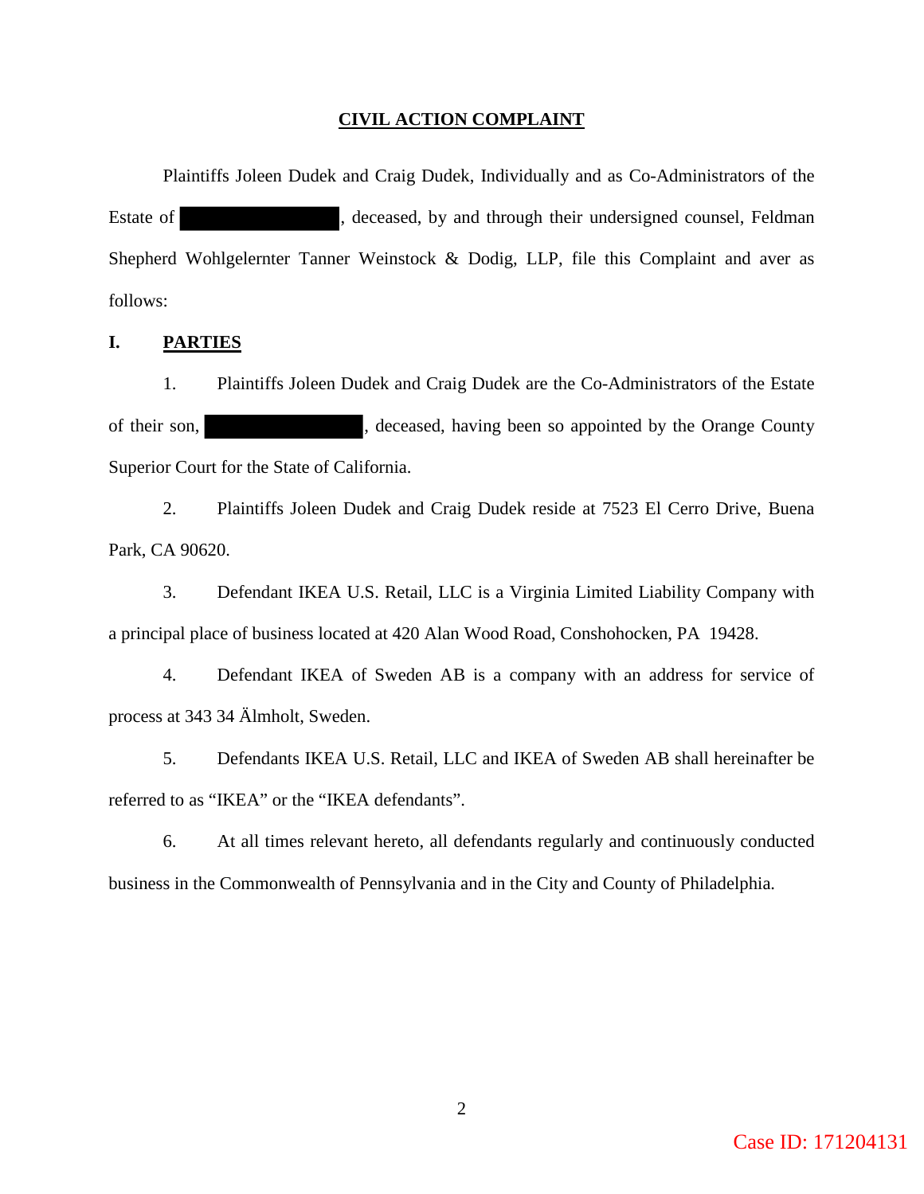### **CIVIL ACTION COMPLAINT**

Plaintiffs Joleen Dudek and Craig Dudek, Individually and as Co-Administrators of the Estate of , deceased, by and through their undersigned counsel, Feldman Shepherd Wohlgelernter Tanner Weinstock & Dodig, LLP, file this Complaint and aver as follows:

## **I. PARTIES**

 1. Plaintiffs Joleen Dudek and Craig Dudek are the Co-Administrators of the Estate of their son, becased, having been so appointed by the Orange County Superior Court for the State of California.

 2. Plaintiffs Joleen Dudek and Craig Dudek reside at 7523 El Cerro Drive, Buena Park, CA 90620.

 3. Defendant IKEA U.S. Retail, LLC is a Virginia Limited Liability Company with a principal place of business located at 420 Alan Wood Road, Conshohocken, PA 19428.

 4. Defendant IKEA of Sweden AB is a company with an address for service of process at 343 34 Älmholt, Sweden.

 5. Defendants IKEA U.S. Retail, LLC and IKEA of Sweden AB shall hereinafter be referred to as "IKEA" or the "IKEA defendants".

 6. At all times relevant hereto, all defendants regularly and continuously conducted business in the Commonwealth of Pennsylvania and in the City and County of Philadelphia.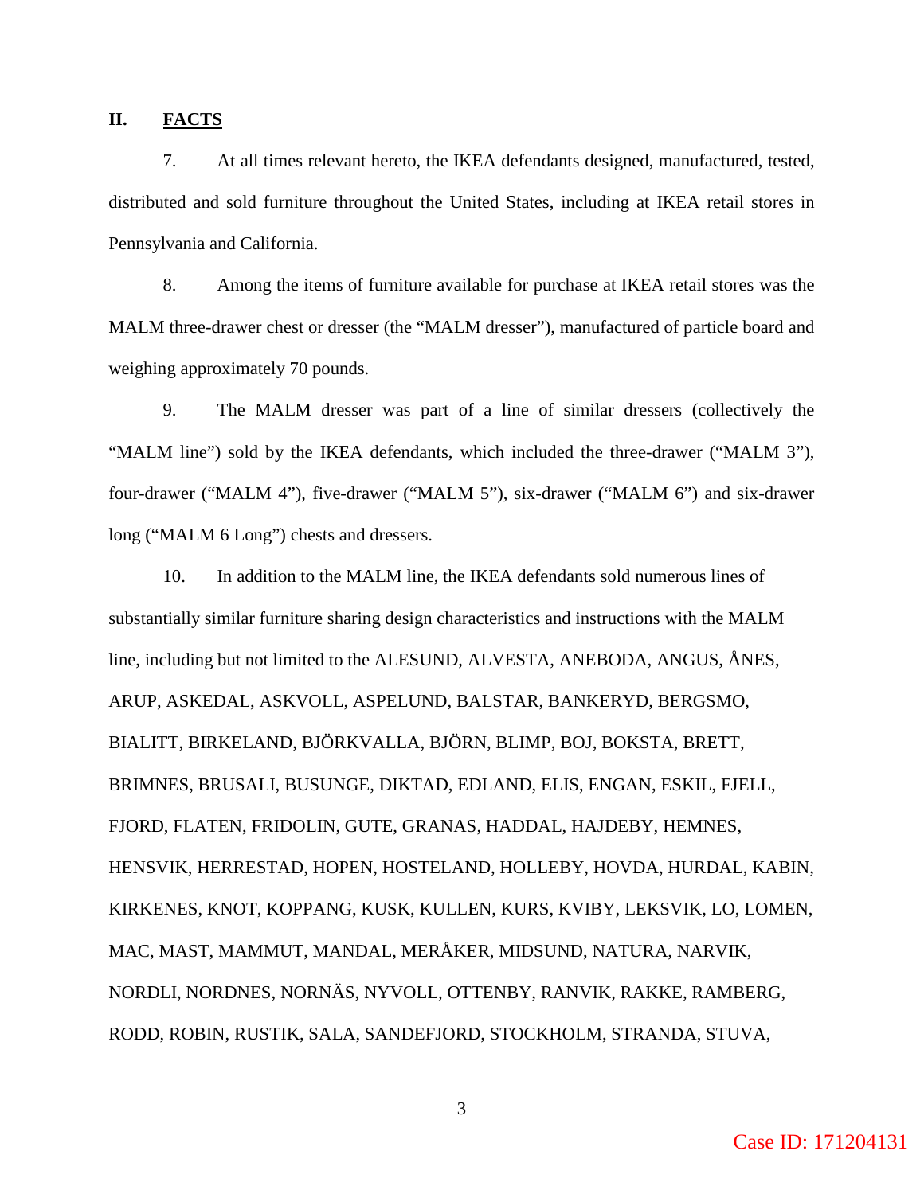## **II. FACTS**

7. At all times relevant hereto, the IKEA defendants designed, manufactured, tested, distributed and sold furniture throughout the United States, including at IKEA retail stores in Pennsylvania and California.

8. Among the items of furniture available for purchase at IKEA retail stores was the MALM three-drawer chest or dresser (the "MALM dresser"), manufactured of particle board and weighing approximately 70 pounds.

9. The MALM dresser was part of a line of similar dressers (collectively the "MALM line") sold by the IKEA defendants, which included the three-drawer ("MALM 3"), four-drawer ("MALM 4"), five-drawer ("MALM 5"), six-drawer ("MALM 6") and six-drawer long ("MALM 6 Long") chests and dressers.

10. In addition to the MALM line, the IKEA defendants sold numerous lines of substantially similar furniture sharing design characteristics and instructions with the MALM line, including but not limited to the ALESUND, ALVESTA, ANEBODA, ANGUS, ÅNES, ARUP, ASKEDAL, ASKVOLL, ASPELUND, BALSTAR, BANKERYD, BERGSMO, BIALITT, BIRKELAND, BJÖRKVALLA, BJÖRN, BLIMP, BOJ, BOKSTA, BRETT, BRIMNES, BRUSALI, BUSUNGE, DIKTAD, EDLAND, ELIS, ENGAN, ESKIL, FJELL, FJORD, FLATEN, FRIDOLIN, GUTE, GRANAS, HADDAL, HAJDEBY, HEMNES, HENSVIK, HERRESTAD, HOPEN, HOSTELAND, HOLLEBY, HOVDA, HURDAL, KABIN, KIRKENES, KNOT, KOPPANG, KUSK, KULLEN, KURS, KVIBY, LEKSVIK, LO, LOMEN, MAC, MAST, MAMMUT, MANDAL, MERÅKER, MIDSUND, NATURA, NARVIK, NORDLI, NORDNES, NORNÄS, NYVOLL, OTTENBY, RANVIK, RAKKE, RAMBERG, RODD, ROBIN, RUSTIK, SALA, SANDEFJORD, STOCKHOLM, STRANDA, STUVA,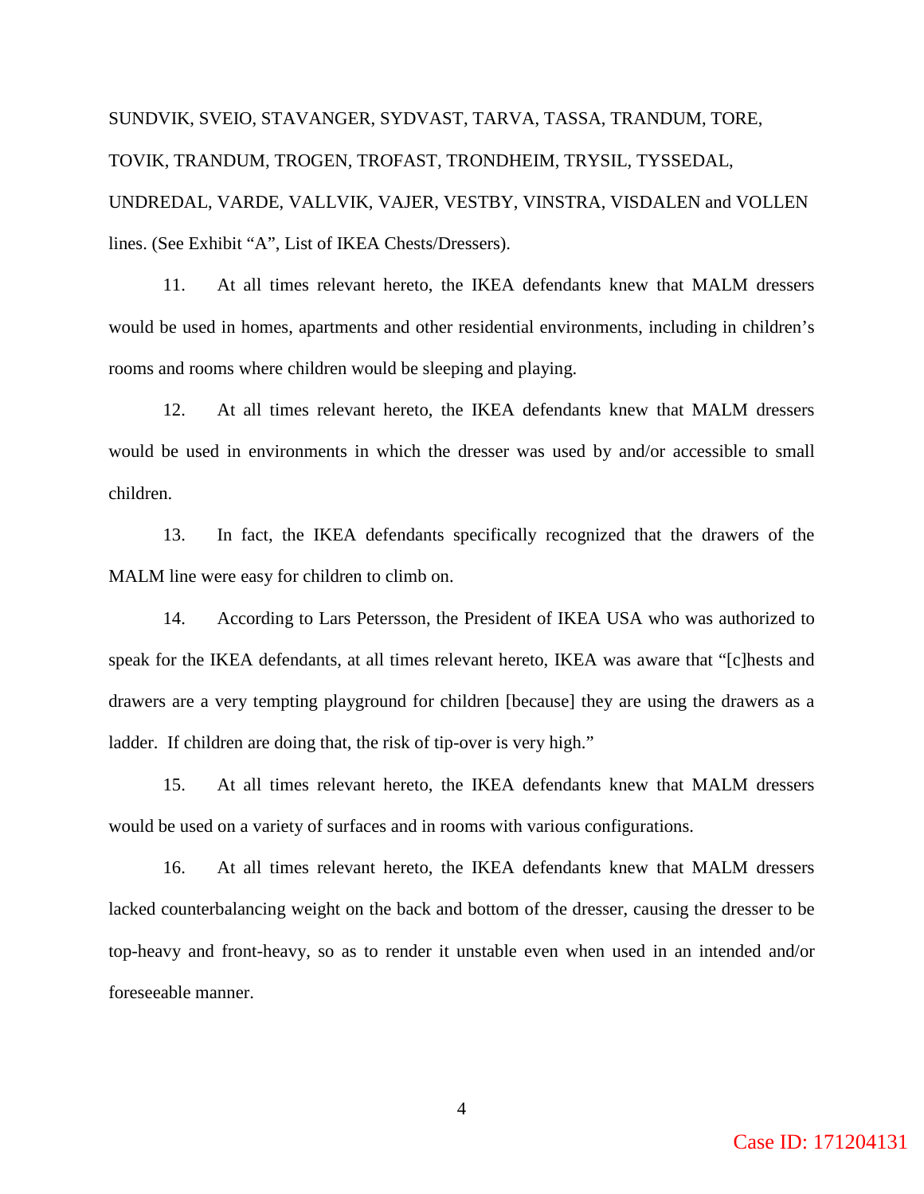SUNDVIK, SVEIO, STAVANGER, SYDVAST, TARVA, TASSA, TRANDUM, TORE, TOVIK, TRANDUM, TROGEN, TROFAST, TRONDHEIM, TRYSIL, TYSSEDAL, UNDREDAL, VARDE, VALLVIK, VAJER, VESTBY, VINSTRA, VISDALEN and VOLLEN lines. (See Exhibit "A", List of IKEA Chests/Dressers).

11. At all times relevant hereto, the IKEA defendants knew that MALM dressers would be used in homes, apartments and other residential environments, including in children's rooms and rooms where children would be sleeping and playing.

12. At all times relevant hereto, the IKEA defendants knew that MALM dressers would be used in environments in which the dresser was used by and/or accessible to small children.

13. In fact, the IKEA defendants specifically recognized that the drawers of the MALM line were easy for children to climb on.

14. According to Lars Petersson, the President of IKEA USA who was authorized to speak for the IKEA defendants, at all times relevant hereto, IKEA was aware that "[c]hests and drawers are a very tempting playground for children [because] they are using the drawers as a ladder. If children are doing that, the risk of tip-over is very high."

15. At all times relevant hereto, the IKEA defendants knew that MALM dressers would be used on a variety of surfaces and in rooms with various configurations.

16. At all times relevant hereto, the IKEA defendants knew that MALM dressers lacked counterbalancing weight on the back and bottom of the dresser, causing the dresser to be top-heavy and front-heavy, so as to render it unstable even when used in an intended and/or foreseeable manner.

Case ID: 171204131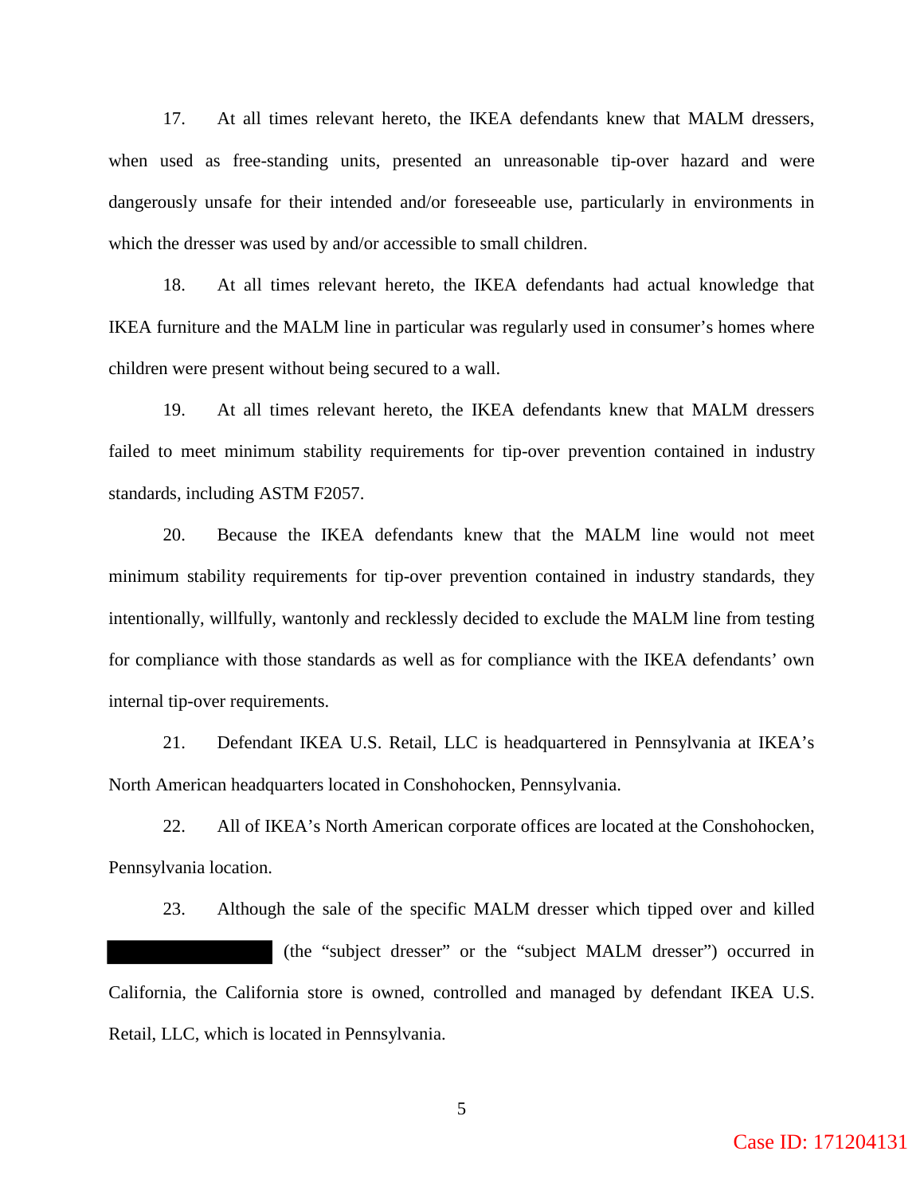17. At all times relevant hereto, the IKEA defendants knew that MALM dressers, when used as free-standing units, presented an unreasonable tip-over hazard and were dangerously unsafe for their intended and/or foreseeable use, particularly in environments in which the dresser was used by and/or accessible to small children.

 18. At all times relevant hereto, the IKEA defendants had actual knowledge that IKEA furniture and the MALM line in particular was regularly used in consumer's homes where children were present without being secured to a wall.

 19. At all times relevant hereto, the IKEA defendants knew that MALM dressers failed to meet minimum stability requirements for tip-over prevention contained in industry standards, including ASTM F2057.

 20. Because the IKEA defendants knew that the MALM line would not meet minimum stability requirements for tip-over prevention contained in industry standards, they intentionally, willfully, wantonly and recklessly decided to exclude the MALM line from testing for compliance with those standards as well as for compliance with the IKEA defendants' own internal tip-over requirements.

 21. Defendant IKEA U.S. Retail, LLC is headquartered in Pennsylvania at IKEA's North American headquarters located in Conshohocken, Pennsylvania.

 22. All of IKEA's North American corporate offices are located at the Conshohocken, Pennsylvania location.

 23. Although the sale of the specific MALM dresser which tipped over and killed (the "subject dresser" or the "subject MALM dresser") occurred in California, the California store is owned, controlled and managed by defendant IKEA U.S. Retail, LLC, which is located in Pennsylvania.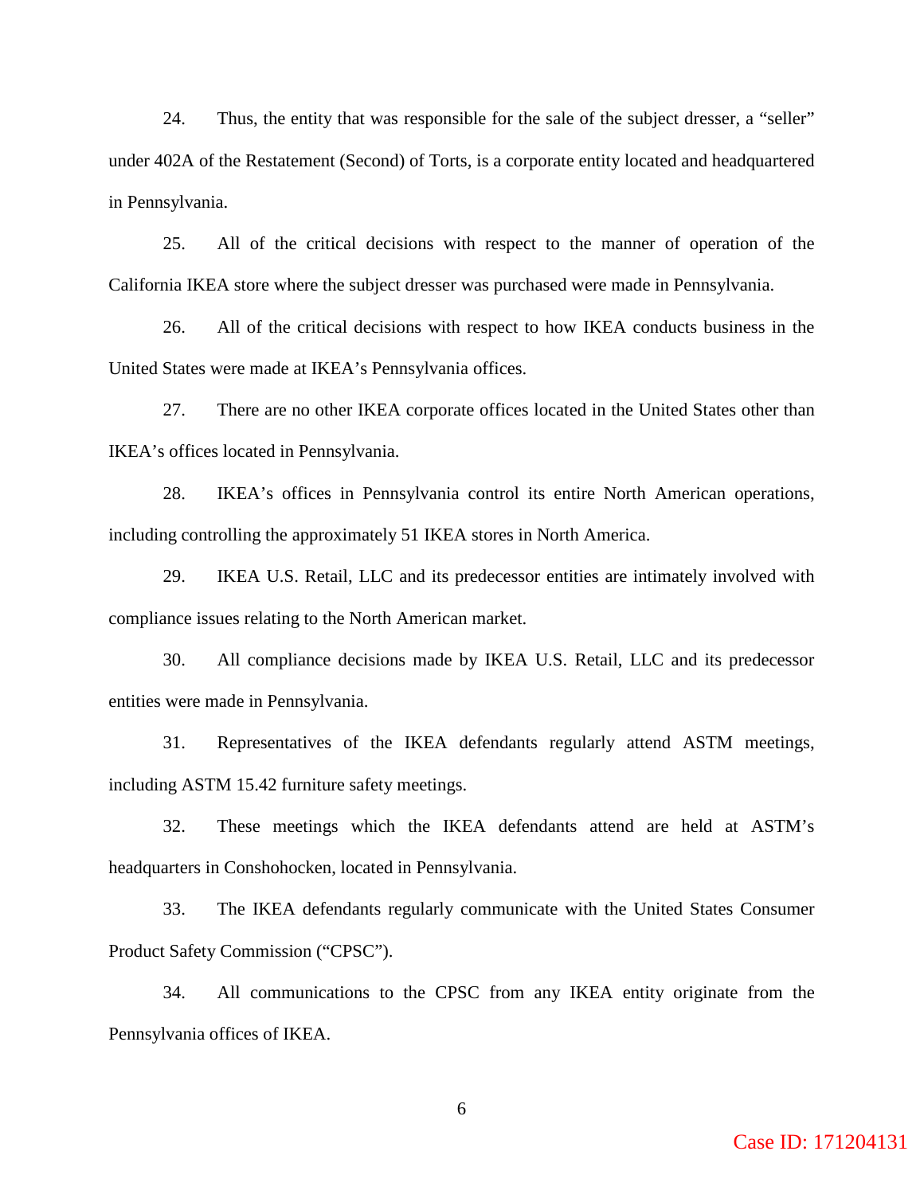24. Thus, the entity that was responsible for the sale of the subject dresser, a "seller" under 402A of the Restatement (Second) of Torts, is a corporate entity located and headquartered in Pennsylvania.

25. All of the critical decisions with respect to the manner of operation of the California IKEA store where the subject dresser was purchased were made in Pennsylvania.

26. All of the critical decisions with respect to how IKEA conducts business in the United States were made at IKEA's Pennsylvania offices.

27. There are no other IKEA corporate offices located in the United States other than IKEA's offices located in Pennsylvania.

28. IKEA's offices in Pennsylvania control its entire North American operations, including controlling the approximately 51 IKEA stores in North America.

29. IKEA U.S. Retail, LLC and its predecessor entities are intimately involved with compliance issues relating to the North American market.

30. All compliance decisions made by IKEA U.S. Retail, LLC and its predecessor entities were made in Pennsylvania.

31. Representatives of the IKEA defendants regularly attend ASTM meetings, including ASTM 15.42 furniture safety meetings.

32. These meetings which the IKEA defendants attend are held at ASTM's headquarters in Conshohocken, located in Pennsylvania.

33. The IKEA defendants regularly communicate with the United States Consumer Product Safety Commission ("CPSC").

34. All communications to the CPSC from any IKEA entity originate from the Pennsylvania offices of IKEA.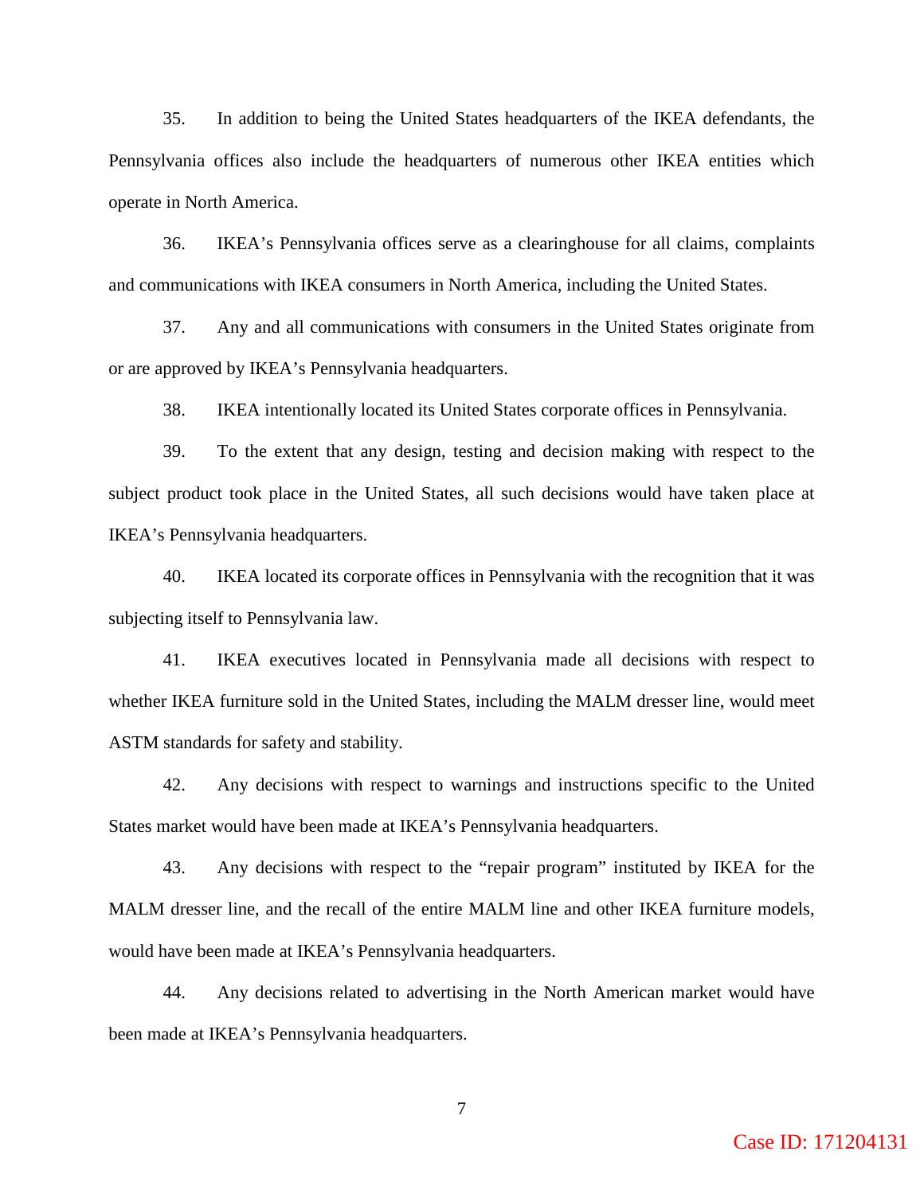35. In addition to being the United States headquarters of the IKEA defendants, the Pennsylvania offices also include the headquarters of numerous other IKEA entities which operate in North America.

36. IKEA's Pennsylvania offices serve as a clearinghouse for all claims, complaints and communications with IKEA consumers in North America, including the United States.

37. Any and all communications with consumers in the United States originate from or are approved by IKEA's Pennsylvania headquarters.

38. IKEA intentionally located its United States corporate offices in Pennsylvania.

39. To the extent that any design, testing and decision making with respect to the subject product took place in the United States, all such decisions would have taken place at IKEA's Pennsylvania headquarters.

40. IKEA located its corporate offices in Pennsylvania with the recognition that it was subjecting itself to Pennsylvania law.

41. IKEA executives located in Pennsylvania made all decisions with respect to whether IKEA furniture sold in the United States, including the MALM dresser line, would meet ASTM standards for safety and stability.

42. Any decisions with respect to warnings and instructions specific to the United States market would have been made at IKEA's Pennsylvania headquarters.

43. Any decisions with respect to the "repair program" instituted by IKEA for the MALM dresser line, and the recall of the entire MALM line and other IKEA furniture models, would have been made at IKEA's Pennsylvania headquarters.

44. Any decisions related to advertising in the North American market would have been made at IKEA's Pennsylvania headquarters.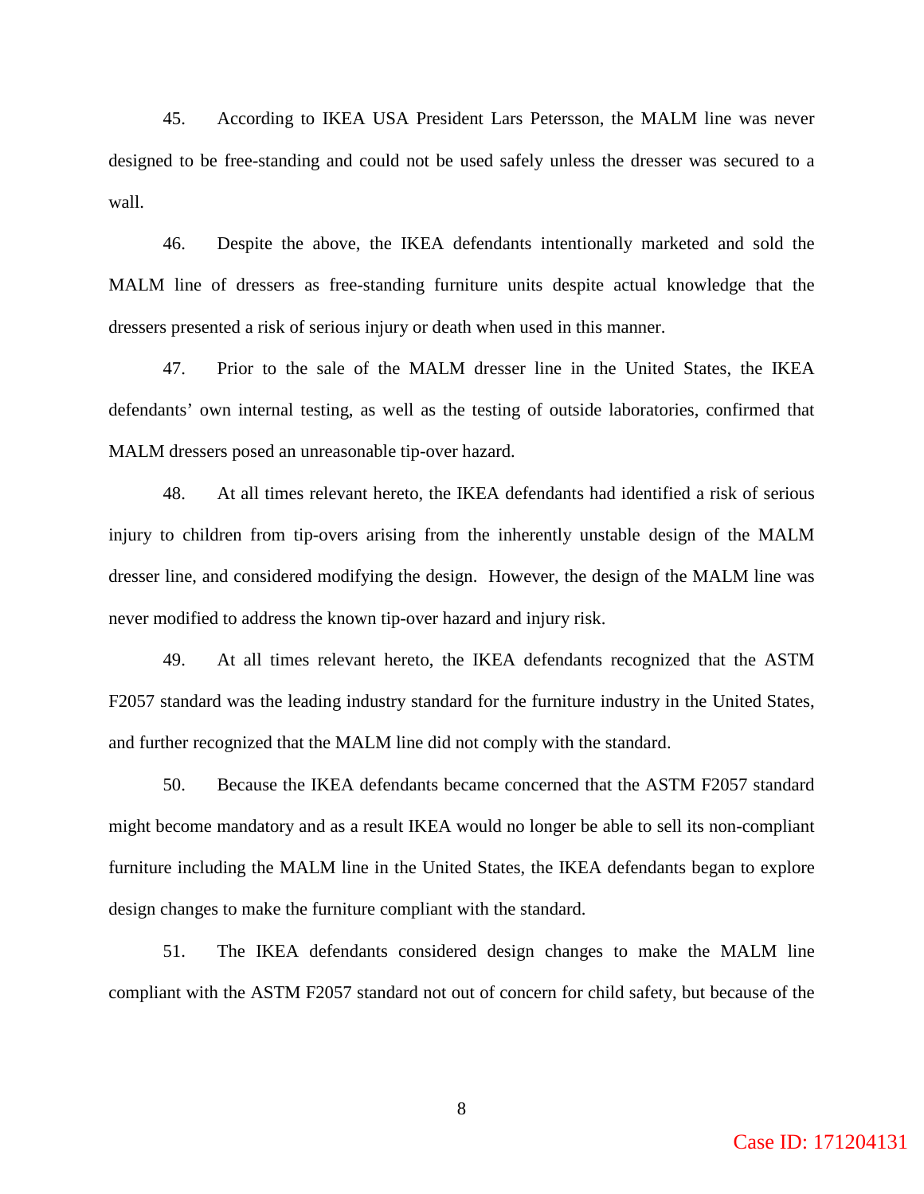45. According to IKEA USA President Lars Petersson, the MALM line was never designed to be free-standing and could not be used safely unless the dresser was secured to a wall.

46. Despite the above, the IKEA defendants intentionally marketed and sold the MALM line of dressers as free-standing furniture units despite actual knowledge that the dressers presented a risk of serious injury or death when used in this manner.

47. Prior to the sale of the MALM dresser line in the United States, the IKEA defendants' own internal testing, as well as the testing of outside laboratories, confirmed that MALM dressers posed an unreasonable tip-over hazard.

48. At all times relevant hereto, the IKEA defendants had identified a risk of serious injury to children from tip-overs arising from the inherently unstable design of the MALM dresser line, and considered modifying the design. However, the design of the MALM line was never modified to address the known tip-over hazard and injury risk.

49. At all times relevant hereto, the IKEA defendants recognized that the ASTM F2057 standard was the leading industry standard for the furniture industry in the United States, and further recognized that the MALM line did not comply with the standard.

50. Because the IKEA defendants became concerned that the ASTM F2057 standard might become mandatory and as a result IKEA would no longer be able to sell its non-compliant furniture including the MALM line in the United States, the IKEA defendants began to explore design changes to make the furniture compliant with the standard.

51. The IKEA defendants considered design changes to make the MALM line compliant with the ASTM F2057 standard not out of concern for child safety, but because of the

Case ID: 171204131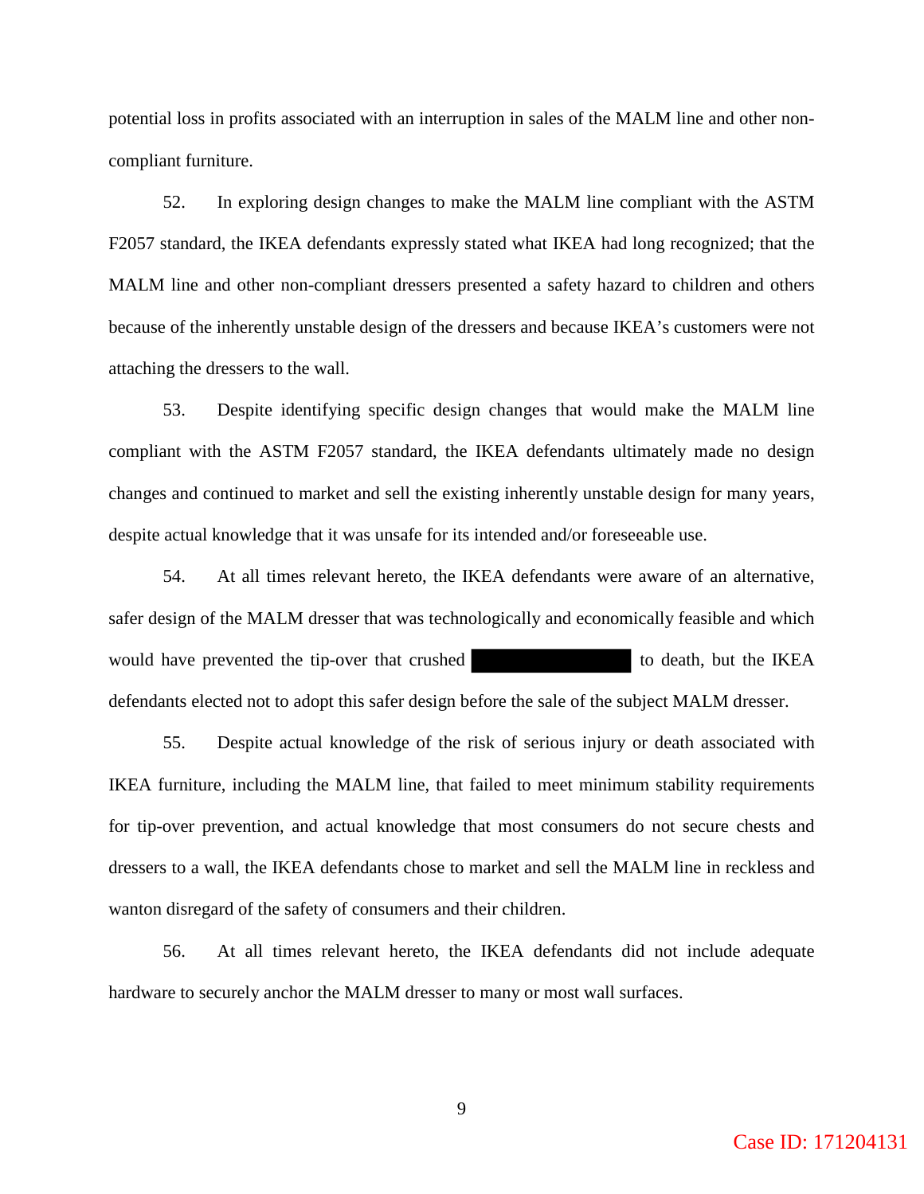potential loss in profits associated with an interruption in sales of the MALM line and other noncompliant furniture.

 52. In exploring design changes to make the MALM line compliant with the ASTM F2057 standard, the IKEA defendants expressly stated what IKEA had long recognized; that the MALM line and other non-compliant dressers presented a safety hazard to children and others because of the inherently unstable design of the dressers and because IKEA's customers were not attaching the dressers to the wall.

 53. Despite identifying specific design changes that would make the MALM line compliant with the ASTM F2057 standard, the IKEA defendants ultimately made no design changes and continued to market and sell the existing inherently unstable design for many years, despite actual knowledge that it was unsafe for its intended and/or foreseeable use.

 54. At all times relevant hereto, the IKEA defendants were aware of an alternative, safer design of the MALM dresser that was technologically and economically feasible and which would have prevented the tip-over that crushed to death, but the IKEA defendants elected not to adopt this safer design before the sale of the subject MALM dresser.

 55. Despite actual knowledge of the risk of serious injury or death associated with IKEA furniture, including the MALM line, that failed to meet minimum stability requirements for tip-over prevention, and actual knowledge that most consumers do not secure chests and dressers to a wall, the IKEA defendants chose to market and sell the MALM line in reckless and wanton disregard of the safety of consumers and their children.

 56. At all times relevant hereto, the IKEA defendants did not include adequate hardware to securely anchor the MALM dresser to many or most wall surfaces.

Case ID: 171204131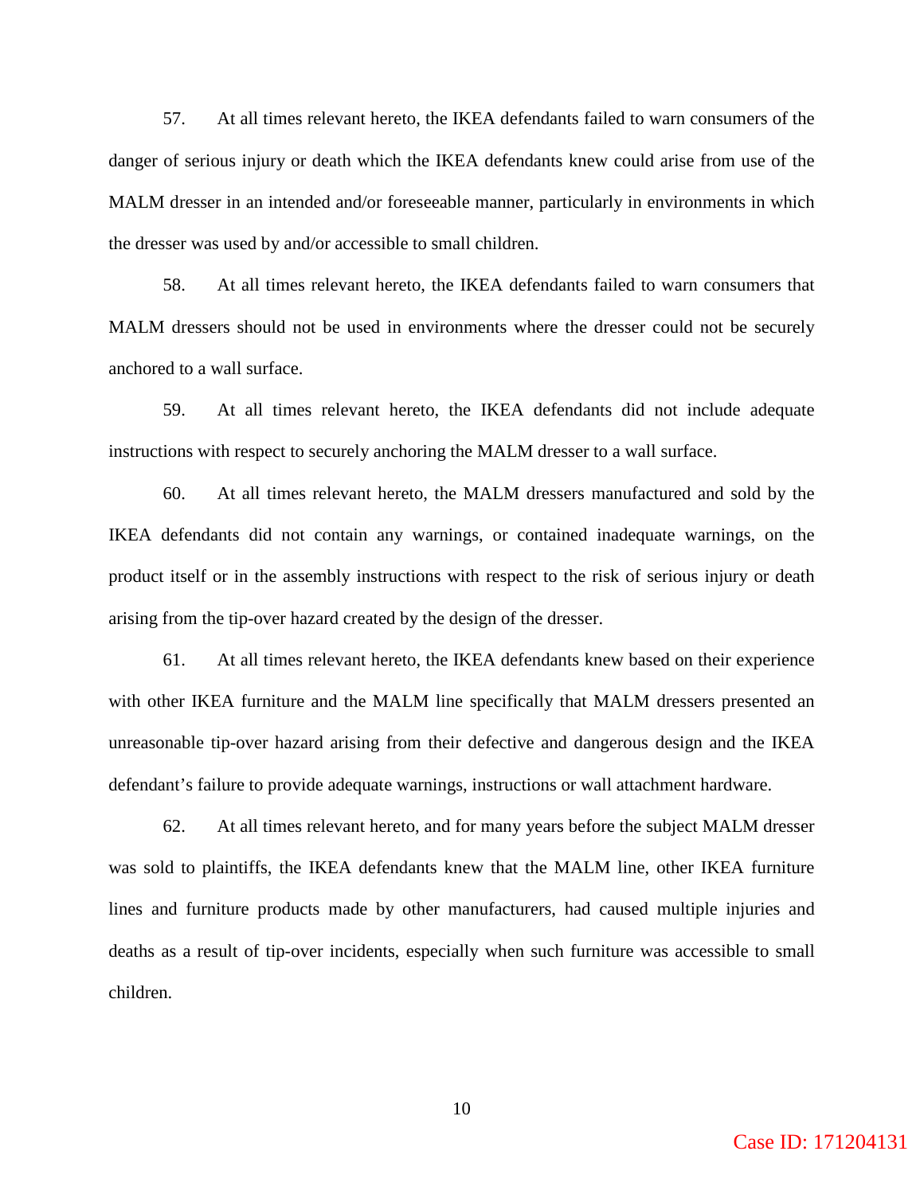57. At all times relevant hereto, the IKEA defendants failed to warn consumers of the danger of serious injury or death which the IKEA defendants knew could arise from use of the MALM dresser in an intended and/or foreseeable manner, particularly in environments in which the dresser was used by and/or accessible to small children.

58. At all times relevant hereto, the IKEA defendants failed to warn consumers that MALM dressers should not be used in environments where the dresser could not be securely anchored to a wall surface.

59. At all times relevant hereto, the IKEA defendants did not include adequate instructions with respect to securely anchoring the MALM dresser to a wall surface.

60. At all times relevant hereto, the MALM dressers manufactured and sold by the IKEA defendants did not contain any warnings, or contained inadequate warnings, on the product itself or in the assembly instructions with respect to the risk of serious injury or death arising from the tip-over hazard created by the design of the dresser.

61. At all times relevant hereto, the IKEA defendants knew based on their experience with other IKEA furniture and the MALM line specifically that MALM dressers presented an unreasonable tip-over hazard arising from their defective and dangerous design and the IKEA defendant's failure to provide adequate warnings, instructions or wall attachment hardware.

62. At all times relevant hereto, and for many years before the subject MALM dresser was sold to plaintiffs, the IKEA defendants knew that the MALM line, other IKEA furniture lines and furniture products made by other manufacturers, had caused multiple injuries and deaths as a result of tip-over incidents, especially when such furniture was accessible to small children.

Case ID: 171204131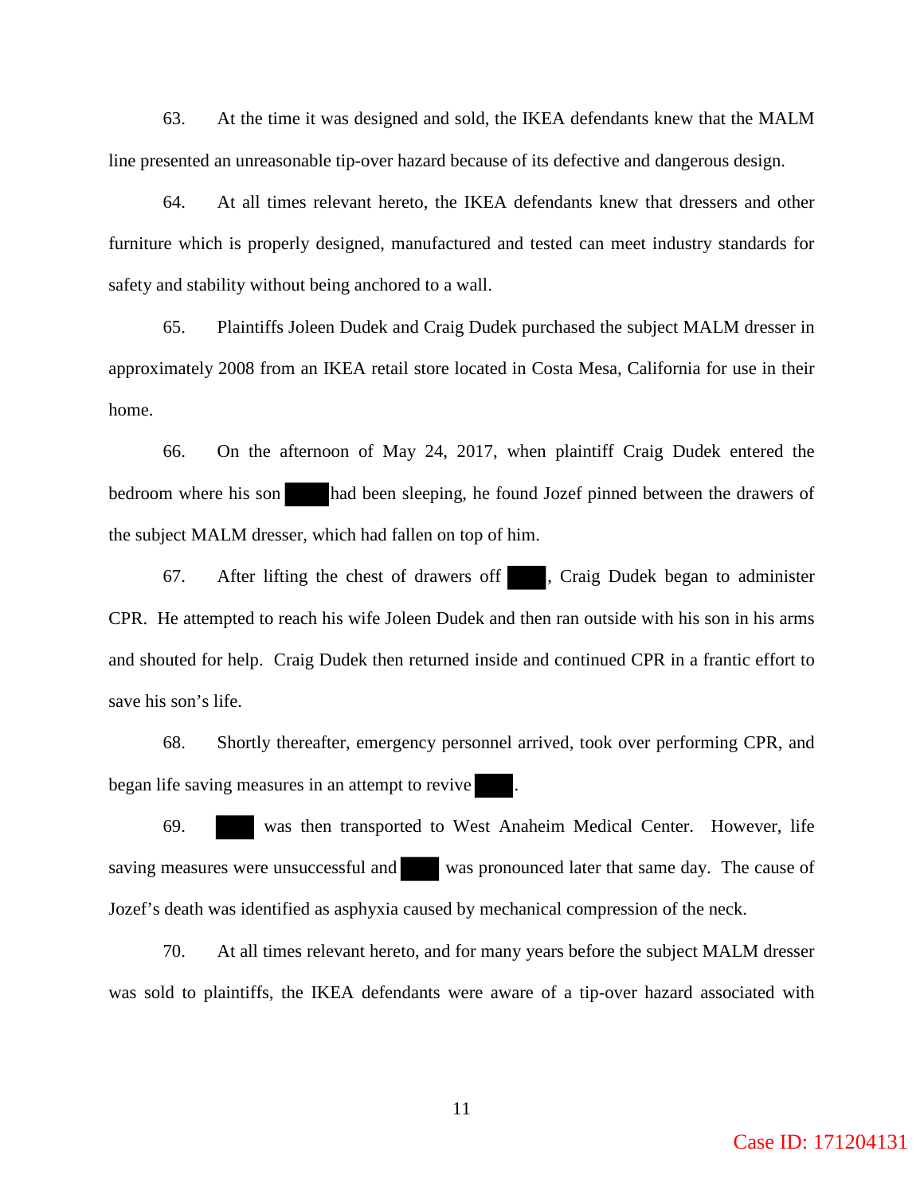63. At the time it was designed and sold, the IKEA defendants knew that the MALM line presented an unreasonable tip-over hazard because of its defective and dangerous design.

 64. At all times relevant hereto, the IKEA defendants knew that dressers and other furniture which is properly designed, manufactured and tested can meet industry standards for safety and stability without being anchored to a wall.

 65. Plaintiffs Joleen Dudek and Craig Dudek purchased the subject MALM dresser in approximately 2008 from an IKEA retail store located in Costa Mesa, California for use in their home.

 66. On the afternoon of May 24, 2017, when plaintiff Craig Dudek entered the bedroom where his son had been sleeping, he found Jozef pinned between the drawers of the subject MALM dresser, which had fallen on top of him.

 67. After lifting the chest of drawers off , Craig Dudek began to administer CPR. He attempted to reach his wife Joleen Dudek and then ran outside with his son in his arms and shouted for help. Craig Dudek then returned inside and continued CPR in a frantic effort to save his son's life.

 68. Shortly thereafter, emergency personnel arrived, took over performing CPR, and began life saving measures in an attempt to revive

 69. was then transported to West Anaheim Medical Center. However, life saving measures were unsuccessful and was pronounced later that same day. The cause of Jozef's death was identified as asphyxia caused by mechanical compression of the neck.

 70. At all times relevant hereto, and for many years before the subject MALM dresser was sold to plaintiffs, the IKEA defendants were aware of a tip-over hazard associated with

Case ID: 171204131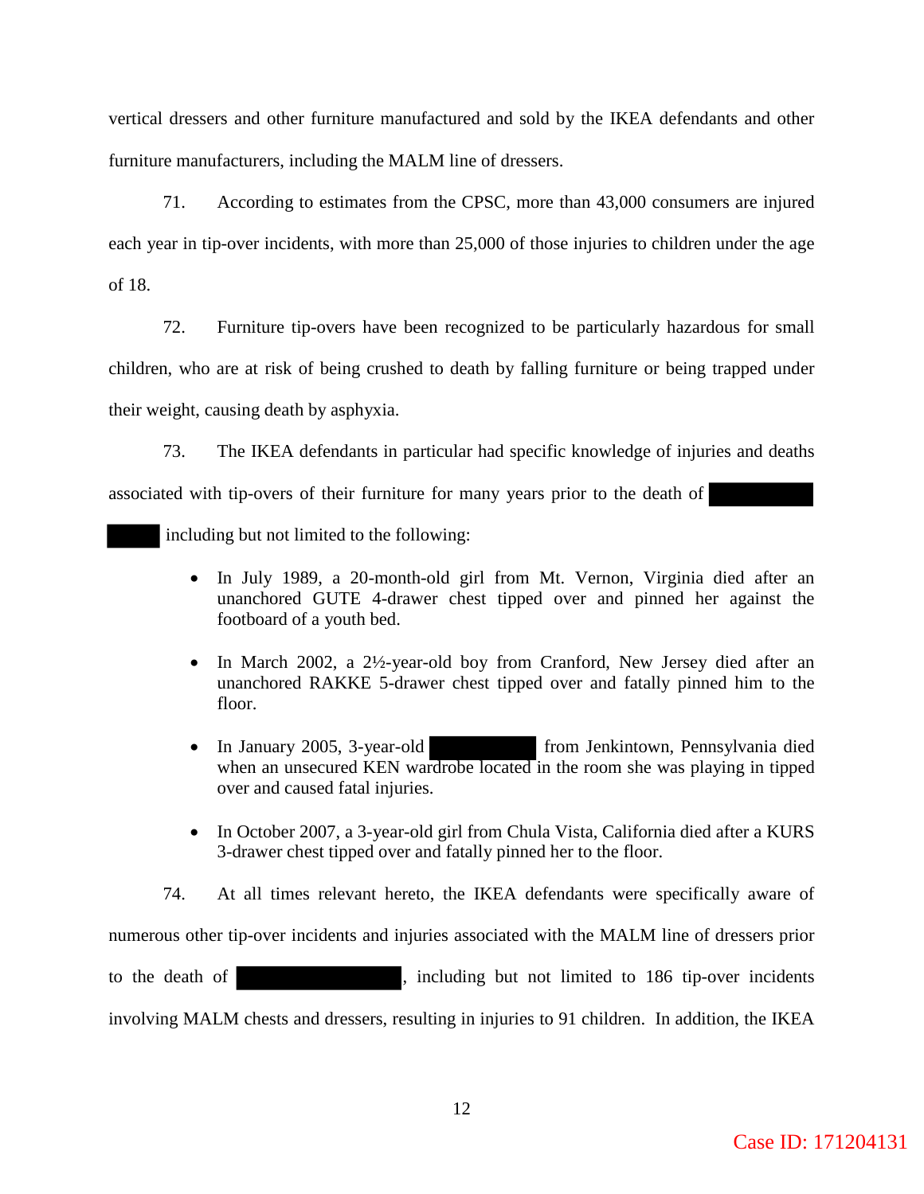vertical dressers and other furniture manufactured and sold by the IKEA defendants and other furniture manufacturers, including the MALM line of dressers.

71. According to estimates from the CPSC, more than 43,000 consumers are injured each year in tip-over incidents, with more than 25,000 of those injuries to children under the age of 18.

 72. Furniture tip-overs have been recognized to be particularly hazardous for small children, who are at risk of being crushed to death by falling furniture or being trapped under their weight, causing death by asphyxia.

 73. The IKEA defendants in particular had specific knowledge of injuries and deaths associated with tip-overs of their furniture for many years prior to the death of

including but not limited to the following:

- In July 1989, a 20-month-old girl from Mt. Vernon, Virginia died after an unanchored GUTE 4-drawer chest tipped over and pinned her against the footboard of a youth bed.
- In March 2002, a 2½-year-old boy from Cranford, New Jersey died after an unanchored RAKKE 5-drawer chest tipped over and fatally pinned him to the floor.
- In January 2005, 3-year-old from Jenkintown, Pennsylvania died when an unsecured KEN wardrobe located in the room she was playing in tipped over and caused fatal injuries.
- In October 2007, a 3-year-old girl from Chula Vista, California died after a KURS 3-drawer chest tipped over and fatally pinned her to the floor.

74. At all times relevant hereto, the IKEA defendants were specifically aware of numerous other tip-over incidents and injuries associated with the MALM line of dressers prior to the death of , including but not limited to 186 tip-over incidents involving MALM chests and dressers, resulting in injuries to 91 children. In addition, the IKEA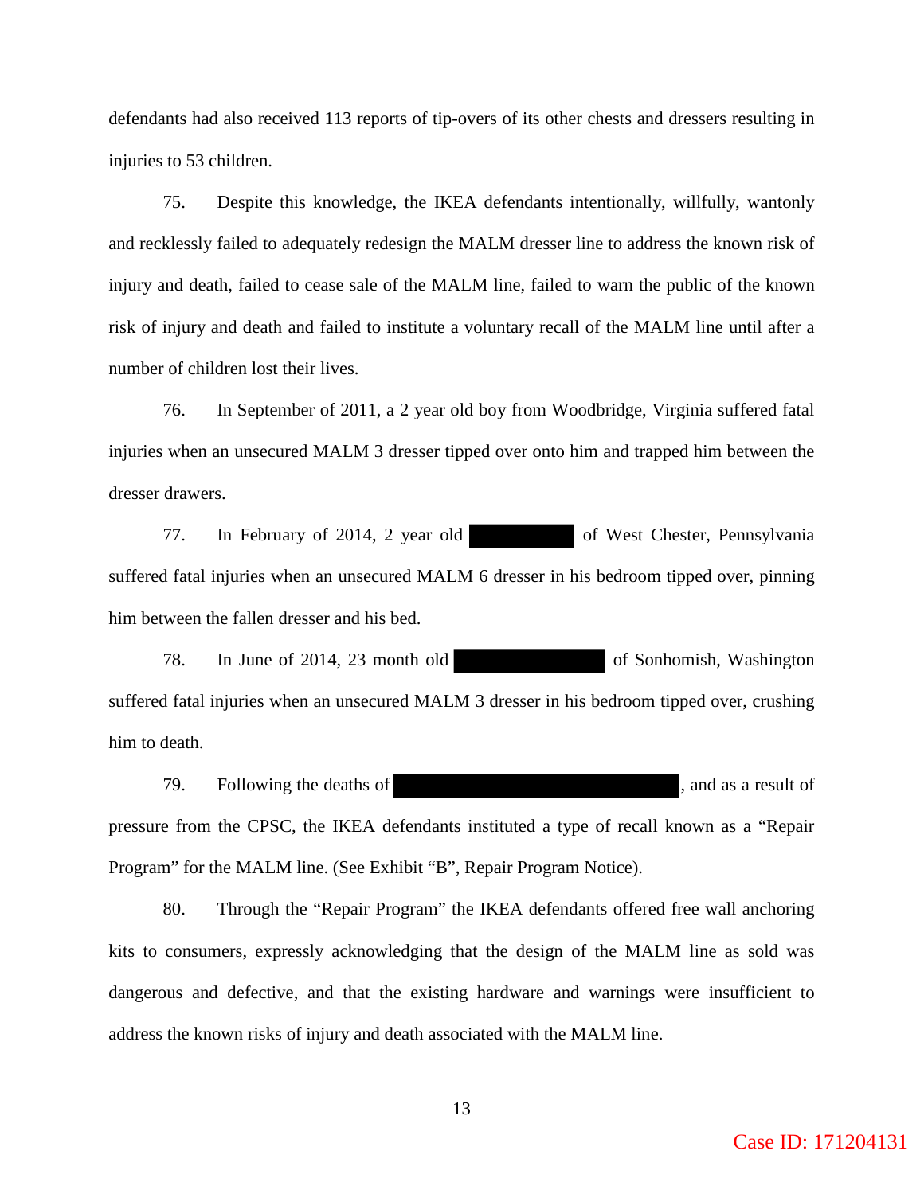defendants had also received 113 reports of tip-overs of its other chests and dressers resulting in injuries to 53 children.

75. Despite this knowledge, the IKEA defendants intentionally, willfully, wantonly and recklessly failed to adequately redesign the MALM dresser line to address the known risk of injury and death, failed to cease sale of the MALM line, failed to warn the public of the known risk of injury and death and failed to institute a voluntary recall of the MALM line until after a number of children lost their lives.

76. In September of 2011, a 2 year old boy from Woodbridge, Virginia suffered fatal injuries when an unsecured MALM 3 dresser tipped over onto him and trapped him between the dresser drawers.

77. In February of 2014, 2 year old of West Chester, Pennsylvania suffered fatal injuries when an unsecured MALM 6 dresser in his bedroom tipped over, pinning him between the fallen dresser and his bed.

78. In June of 2014, 23 month old of Sonhomish, Washington suffered fatal injuries when an unsecured MALM 3 dresser in his bedroom tipped over, crushing him to death.

79. Following the deaths of , and as a result of pressure from the CPSC, the IKEA defendants instituted a type of recall known as a "Repair Program" for the MALM line. (See Exhibit "B", Repair Program Notice).

80. Through the "Repair Program" the IKEA defendants offered free wall anchoring kits to consumers, expressly acknowledging that the design of the MALM line as sold was dangerous and defective, and that the existing hardware and warnings were insufficient to address the known risks of injury and death associated with the MALM line.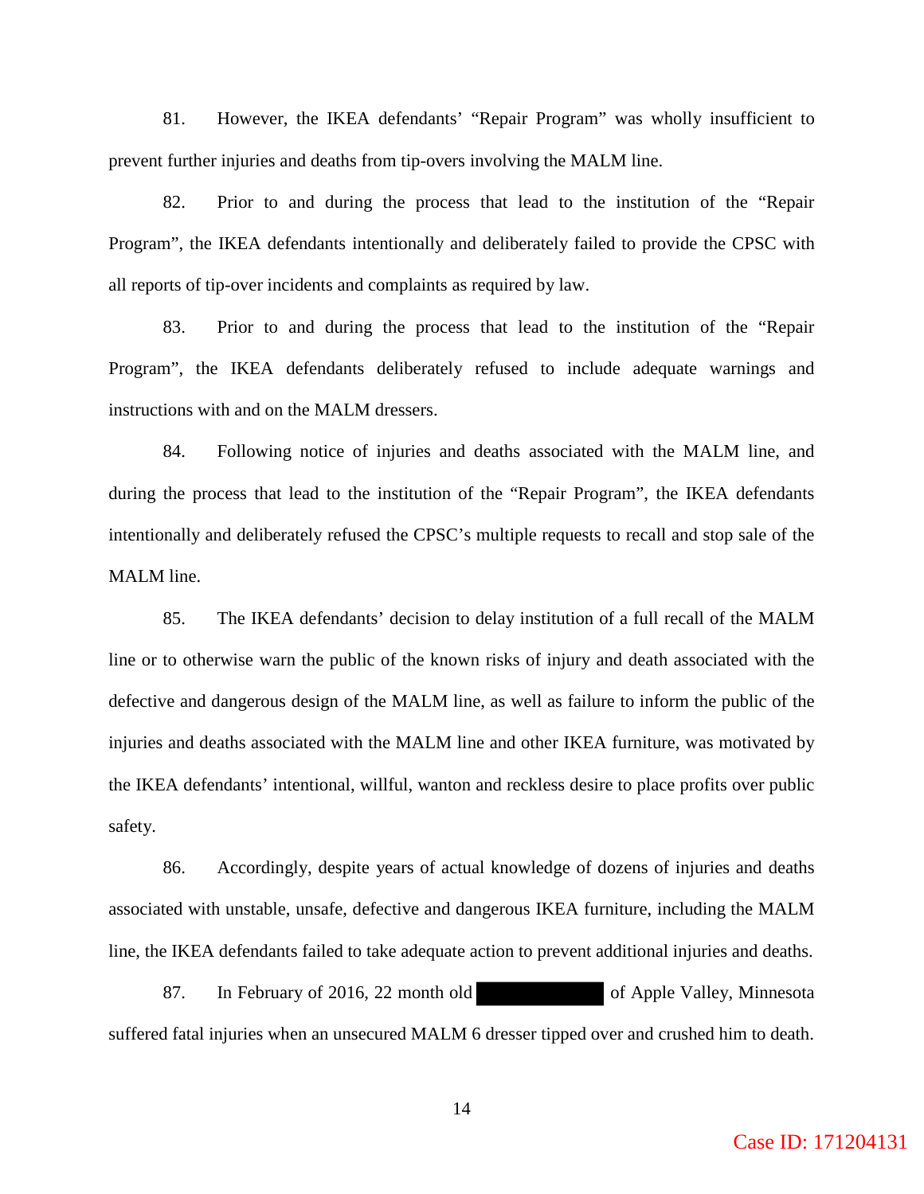81. However, the IKEA defendants' "Repair Program" was wholly insufficient to prevent further injuries and deaths from tip-overs involving the MALM line.

82. Prior to and during the process that lead to the institution of the "Repair Program", the IKEA defendants intentionally and deliberately failed to provide the CPSC with all reports of tip-over incidents and complaints as required by law.

83. Prior to and during the process that lead to the institution of the "Repair Program", the IKEA defendants deliberately refused to include adequate warnings and instructions with and on the MALM dressers.

84. Following notice of injuries and deaths associated with the MALM line, and during the process that lead to the institution of the "Repair Program", the IKEA defendants intentionally and deliberately refused the CPSC's multiple requests to recall and stop sale of the MALM line.

85. The IKEA defendants' decision to delay institution of a full recall of the MALM line or to otherwise warn the public of the known risks of injury and death associated with the defective and dangerous design of the MALM line, as well as failure to inform the public of the injuries and deaths associated with the MALM line and other IKEA furniture, was motivated by the IKEA defendants' intentional, willful, wanton and reckless desire to place profits over public safety.

86. Accordingly, despite years of actual knowledge of dozens of injuries and deaths associated with unstable, unsafe, defective and dangerous IKEA furniture, including the MALM line, the IKEA defendants failed to take adequate action to prevent additional injuries and deaths.

87. In February of 2016, 22 month old of Apple Valley, Minnesota suffered fatal injuries when an unsecured MALM 6 dresser tipped over and crushed him to death.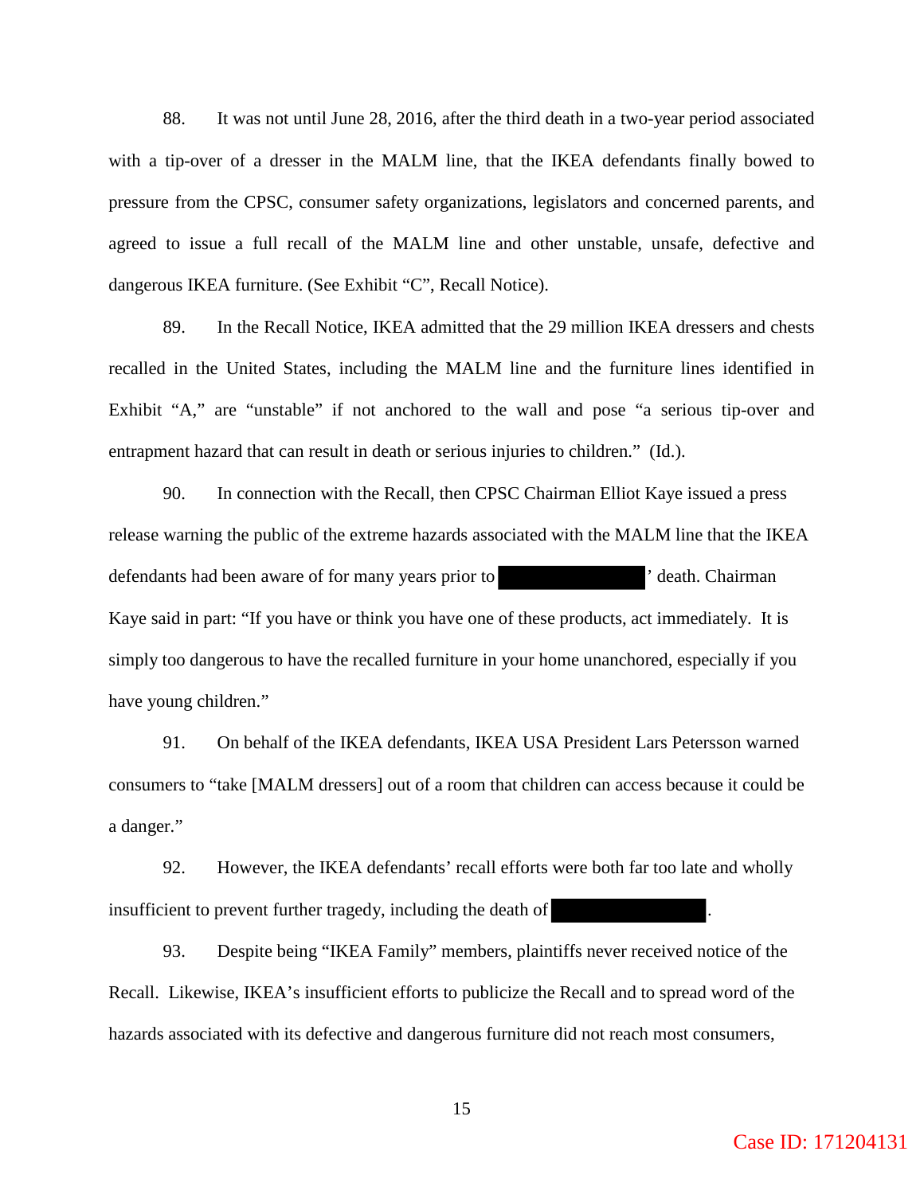88. It was not until June 28, 2016, after the third death in a two-year period associated with a tip-over of a dresser in the MALM line, that the IKEA defendants finally bowed to pressure from the CPSC, consumer safety organizations, legislators and concerned parents, and agreed to issue a full recall of the MALM line and other unstable, unsafe, defective and dangerous IKEA furniture. (See Exhibit "C", Recall Notice).

89. In the Recall Notice, IKEA admitted that the 29 million IKEA dressers and chests recalled in the United States, including the MALM line and the furniture lines identified in Exhibit "A," are "unstable" if not anchored to the wall and pose "a serious tip-over and entrapment hazard that can result in death or serious injuries to children." (Id.).

90. In connection with the Recall, then CPSC Chairman Elliot Kaye issued a press release warning the public of the extreme hazards associated with the MALM line that the IKEA defendants had been aware of for many years prior to ' death. Chairman Kaye said in part: "If you have or think you have one of these products, act immediately. It is simply too dangerous to have the recalled furniture in your home unanchored, especially if you have young children."

91. On behalf of the IKEA defendants, IKEA USA President Lars Petersson warned consumers to "take [MALM dressers] out of a room that children can access because it could be a danger."

92. However, the IKEA defendants' recall efforts were both far too late and wholly insufficient to prevent further tragedy, including the death of

93. Despite being "IKEA Family" members, plaintiffs never received notice of the Recall. Likewise, IKEA's insufficient efforts to publicize the Recall and to spread word of the hazards associated with its defective and dangerous furniture did not reach most consumers,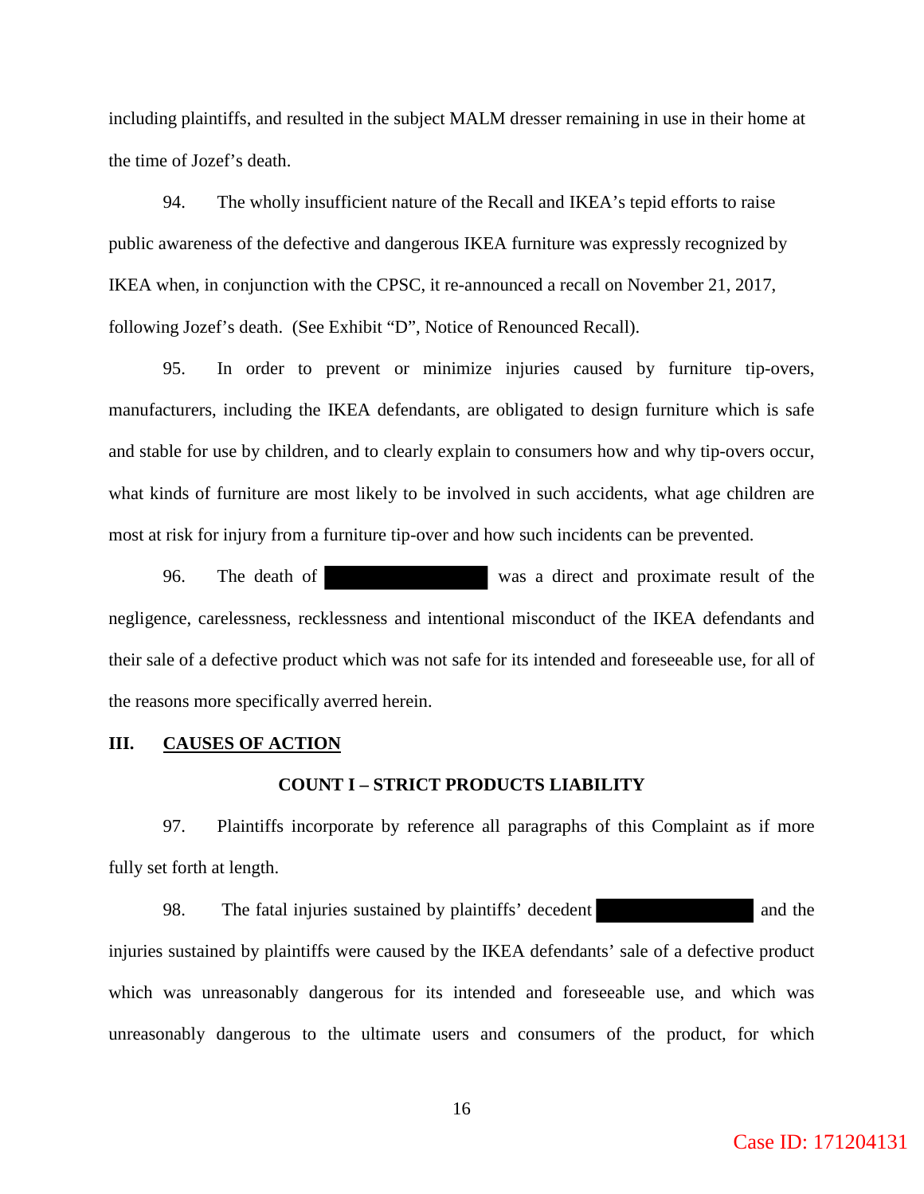including plaintiffs, and resulted in the subject MALM dresser remaining in use in their home at the time of Jozef's death.

94. The wholly insufficient nature of the Recall and IKEA's tepid efforts to raise public awareness of the defective and dangerous IKEA furniture was expressly recognized by IKEA when, in conjunction with the CPSC, it re-announced a recall on November 21, 2017, following Jozef's death. (See Exhibit "D", Notice of Renounced Recall).

 95. In order to prevent or minimize injuries caused by furniture tip-overs, manufacturers, including the IKEA defendants, are obligated to design furniture which is safe and stable for use by children, and to clearly explain to consumers how and why tip-overs occur, what kinds of furniture are most likely to be involved in such accidents, what age children are most at risk for injury from a furniture tip-over and how such incidents can be prevented.

 96. The death of was a direct and proximate result of the negligence, carelessness, recklessness and intentional misconduct of the IKEA defendants and their sale of a defective product which was not safe for its intended and foreseeable use, for all of the reasons more specifically averred herein.

## **III. CAUSES OF ACTION**

### **COUNT I – STRICT PRODUCTS LIABILITY**

 97. Plaintiffs incorporate by reference all paragraphs of this Complaint as if more fully set forth at length.

98. The fatal injuries sustained by plaintiffs' decedent and the and the injuries sustained by plaintiffs were caused by the IKEA defendants' sale of a defective product which was unreasonably dangerous for its intended and foreseeable use, and which was unreasonably dangerous to the ultimate users and consumers of the product, for which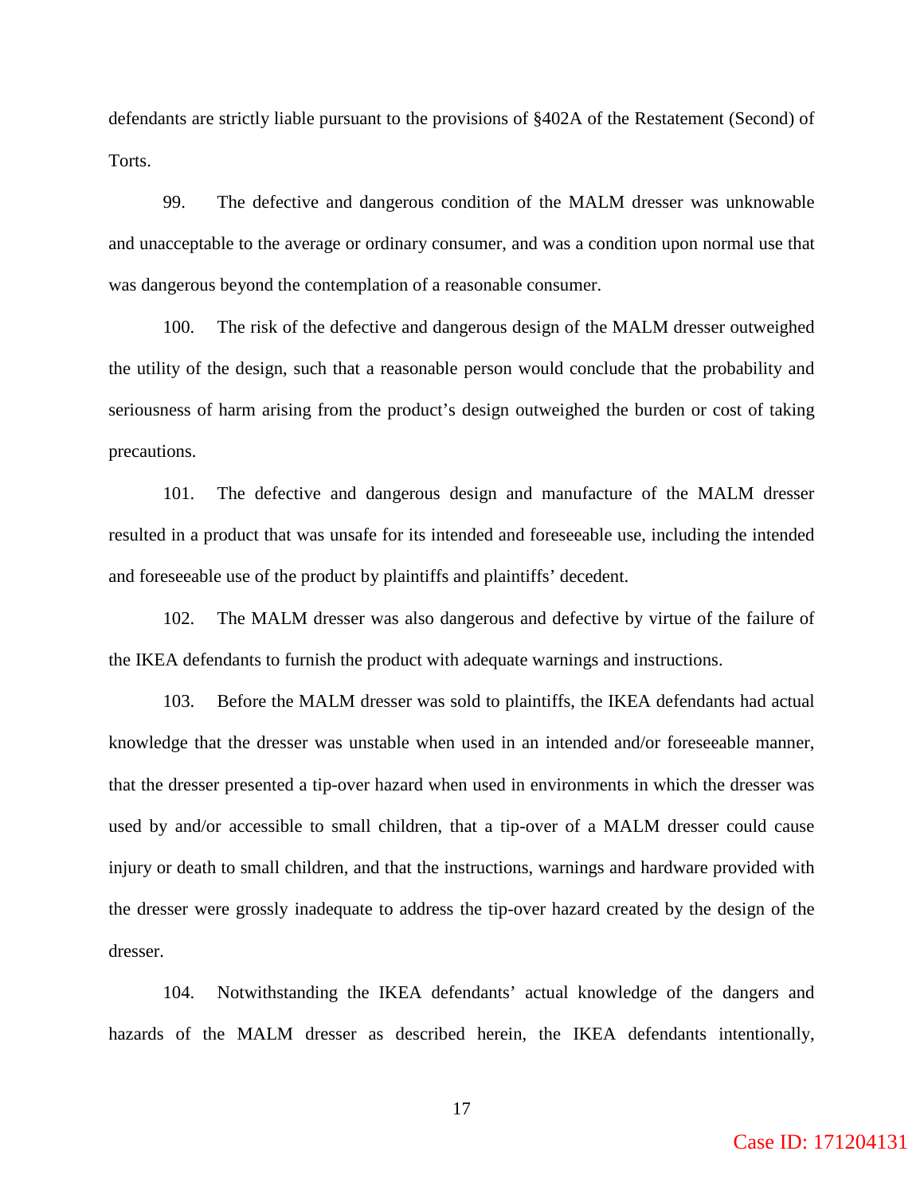defendants are strictly liable pursuant to the provisions of §402A of the Restatement (Second) of Torts.

99. The defective and dangerous condition of the MALM dresser was unknowable and unacceptable to the average or ordinary consumer, and was a condition upon normal use that was dangerous beyond the contemplation of a reasonable consumer.

100. The risk of the defective and dangerous design of the MALM dresser outweighed the utility of the design, such that a reasonable person would conclude that the probability and seriousness of harm arising from the product's design outweighed the burden or cost of taking precautions.

101. The defective and dangerous design and manufacture of the MALM dresser resulted in a product that was unsafe for its intended and foreseeable use, including the intended and foreseeable use of the product by plaintiffs and plaintiffs' decedent.

102. The MALM dresser was also dangerous and defective by virtue of the failure of the IKEA defendants to furnish the product with adequate warnings and instructions.

103. Before the MALM dresser was sold to plaintiffs, the IKEA defendants had actual knowledge that the dresser was unstable when used in an intended and/or foreseeable manner, that the dresser presented a tip-over hazard when used in environments in which the dresser was used by and/or accessible to small children, that a tip-over of a MALM dresser could cause injury or death to small children, and that the instructions, warnings and hardware provided with the dresser were grossly inadequate to address the tip-over hazard created by the design of the dresser.

104. Notwithstanding the IKEA defendants' actual knowledge of the dangers and hazards of the MALM dresser as described herein, the IKEA defendants intentionally,

Case ID: 171204131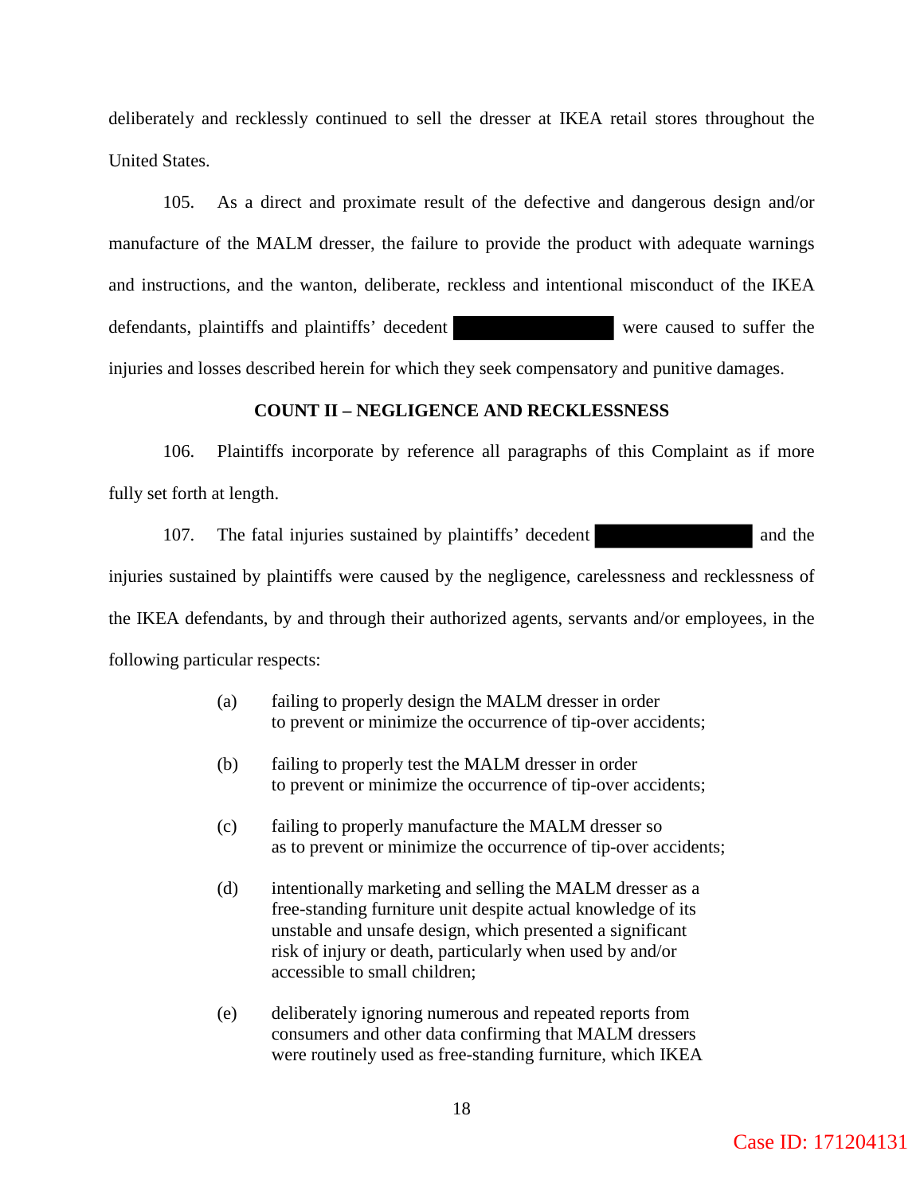deliberately and recklessly continued to sell the dresser at IKEA retail stores throughout the United States.

 105. As a direct and proximate result of the defective and dangerous design and/or manufacture of the MALM dresser, the failure to provide the product with adequate warnings and instructions, and the wanton, deliberate, reckless and intentional misconduct of the IKEA defendants, plaintiffs and plaintiffs' decedent were caused to suffer the injuries and losses described herein for which they seek compensatory and punitive damages.

## **COUNT II – NEGLIGENCE AND RECKLESSNESS**

 106. Plaintiffs incorporate by reference all paragraphs of this Complaint as if more fully set forth at length.

107. The fatal injuries sustained by plaintiffs' decedent and the injuries sustained by plaintiffs were caused by the negligence, carelessness and recklessness of the IKEA defendants, by and through their authorized agents, servants and/or employees, in the following particular respects:

- (a) failing to properly design the MALM dresser in order to prevent or minimize the occurrence of tip-over accidents;
- (b) failing to properly test the MALM dresser in order to prevent or minimize the occurrence of tip-over accidents;
- (c) failing to properly manufacture the MALM dresser so as to prevent or minimize the occurrence of tip-over accidents;
- (d) intentionally marketing and selling the MALM dresser as a free-standing furniture unit despite actual knowledge of its unstable and unsafe design, which presented a significant risk of injury or death, particularly when used by and/or accessible to small children;
- (e) deliberately ignoring numerous and repeated reports from consumers and other data confirming that MALM dressers were routinely used as free-standing furniture, which IKEA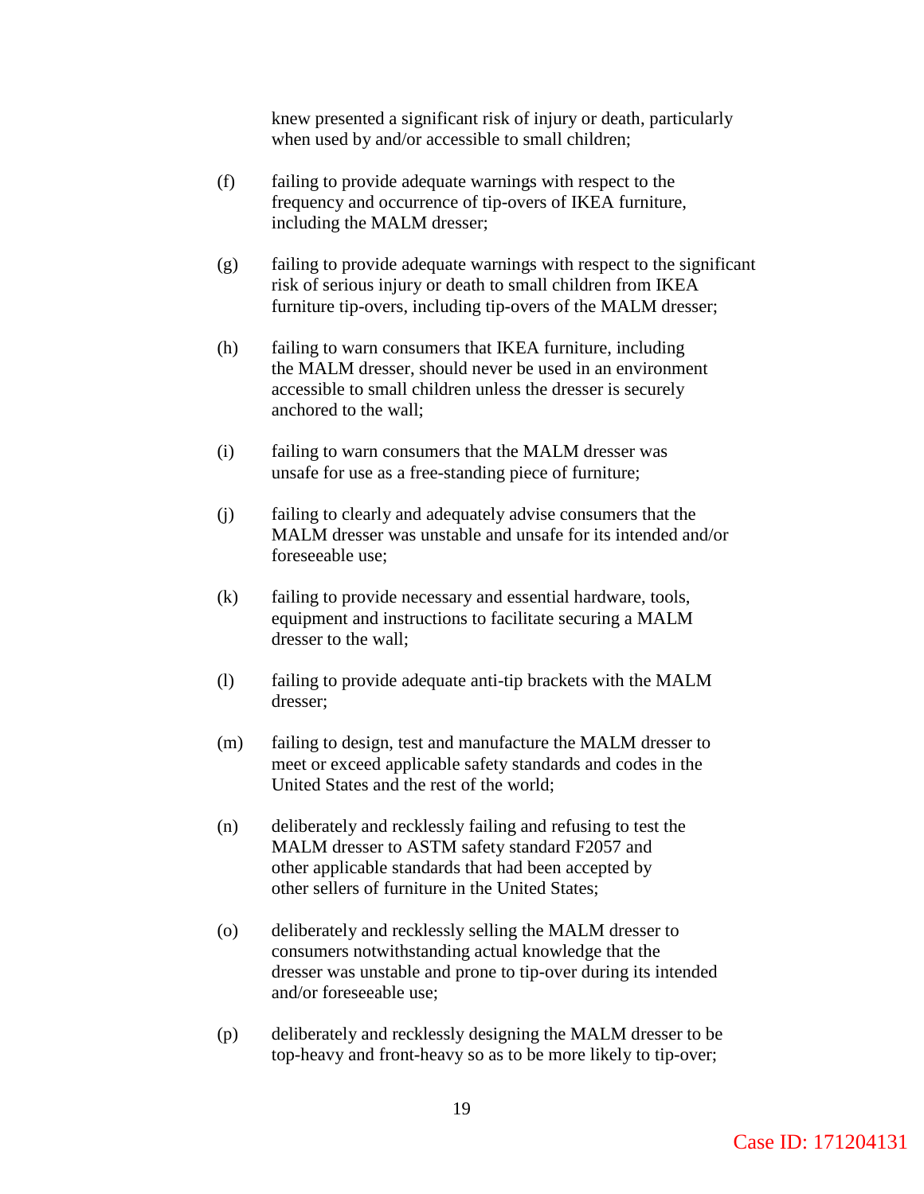knew presented a significant risk of injury or death, particularly when used by and/or accessible to small children;

- (f) failing to provide adequate warnings with respect to the frequency and occurrence of tip-overs of IKEA furniture, including the MALM dresser;
- (g) failing to provide adequate warnings with respect to the significant risk of serious injury or death to small children from IKEA furniture tip-overs, including tip-overs of the MALM dresser;
- (h) failing to warn consumers that IKEA furniture, including the MALM dresser, should never be used in an environment accessible to small children unless the dresser is securely anchored to the wall;
- (i) failing to warn consumers that the MALM dresser was unsafe for use as a free-standing piece of furniture;
- (j) failing to clearly and adequately advise consumers that the MALM dresser was unstable and unsafe for its intended and/or foreseeable use;
- (k) failing to provide necessary and essential hardware, tools, equipment and instructions to facilitate securing a MALM dresser to the wall;
- (l) failing to provide adequate anti-tip brackets with the MALM dresser;
- (m) failing to design, test and manufacture the MALM dresser to meet or exceed applicable safety standards and codes in the United States and the rest of the world;
- (n) deliberately and recklessly failing and refusing to test the MALM dresser to ASTM safety standard F2057 and other applicable standards that had been accepted by other sellers of furniture in the United States;
- (o) deliberately and recklessly selling the MALM dresser to consumers notwithstanding actual knowledge that the dresser was unstable and prone to tip-over during its intended and/or foreseeable use;
- (p) deliberately and recklessly designing the MALM dresser to be top-heavy and front-heavy so as to be more likely to tip-over;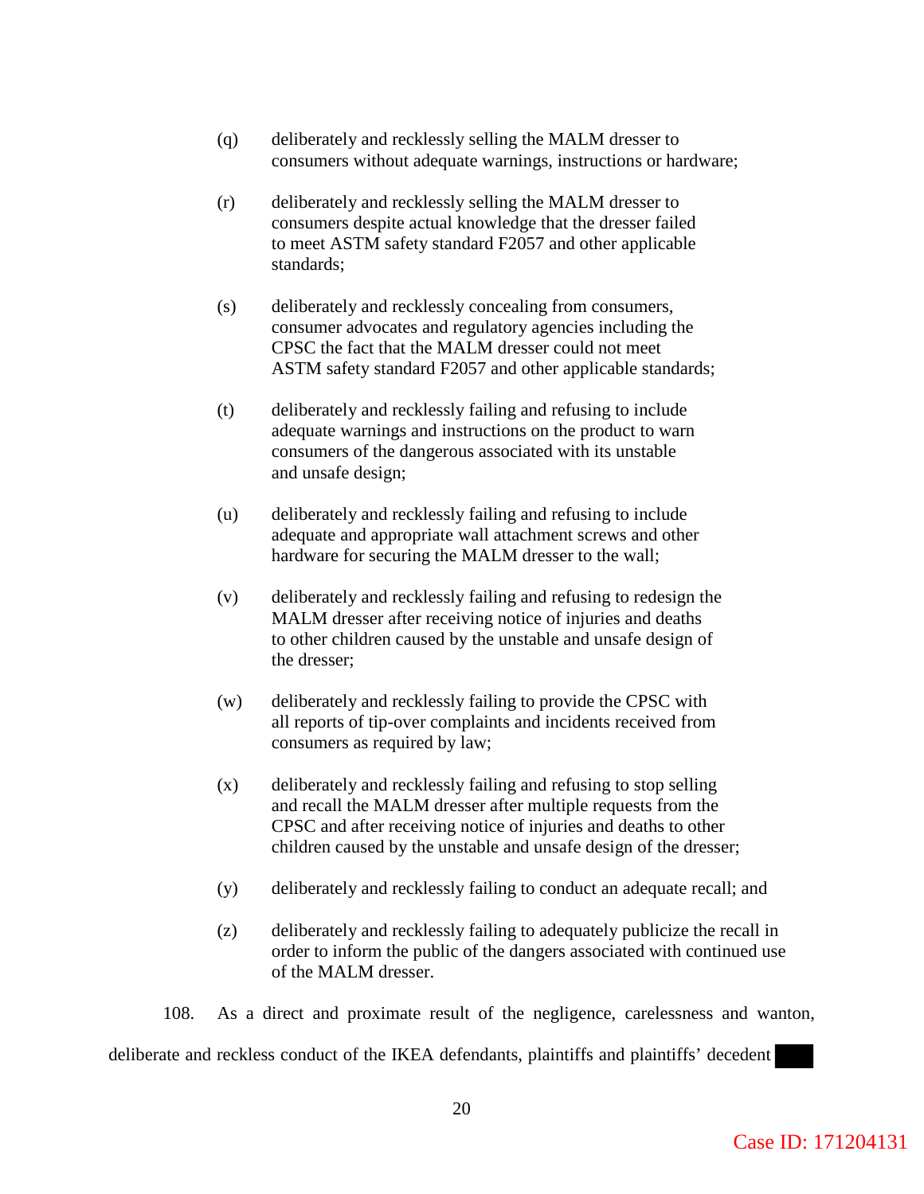- (q) deliberately and recklessly selling the MALM dresser to consumers without adequate warnings, instructions or hardware;
- (r) deliberately and recklessly selling the MALM dresser to consumers despite actual knowledge that the dresser failed to meet ASTM safety standard F2057 and other applicable standards;
- (s) deliberately and recklessly concealing from consumers, consumer advocates and regulatory agencies including the CPSC the fact that the MALM dresser could not meet ASTM safety standard F2057 and other applicable standards;
- (t) deliberately and recklessly failing and refusing to include adequate warnings and instructions on the product to warn consumers of the dangerous associated with its unstable and unsafe design;
- (u) deliberately and recklessly failing and refusing to include adequate and appropriate wall attachment screws and other hardware for securing the MALM dresser to the wall;
- (v) deliberately and recklessly failing and refusing to redesign the MALM dresser after receiving notice of injuries and deaths to other children caused by the unstable and unsafe design of the dresser;
- (w) deliberately and recklessly failing to provide the CPSC with all reports of tip-over complaints and incidents received from consumers as required by law;
- (x) deliberately and recklessly failing and refusing to stop selling and recall the MALM dresser after multiple requests from the CPSC and after receiving notice of injuries and deaths to other children caused by the unstable and unsafe design of the dresser;
- (y) deliberately and recklessly failing to conduct an adequate recall; and
- (z) deliberately and recklessly failing to adequately publicize the recall in order to inform the public of the dangers associated with continued use of the MALM dresser.

108. As a direct and proximate result of the negligence, carelessness and wanton,

deliberate and reckless conduct of the IKEA defendants, plaintiffs and plaintiffs' decedent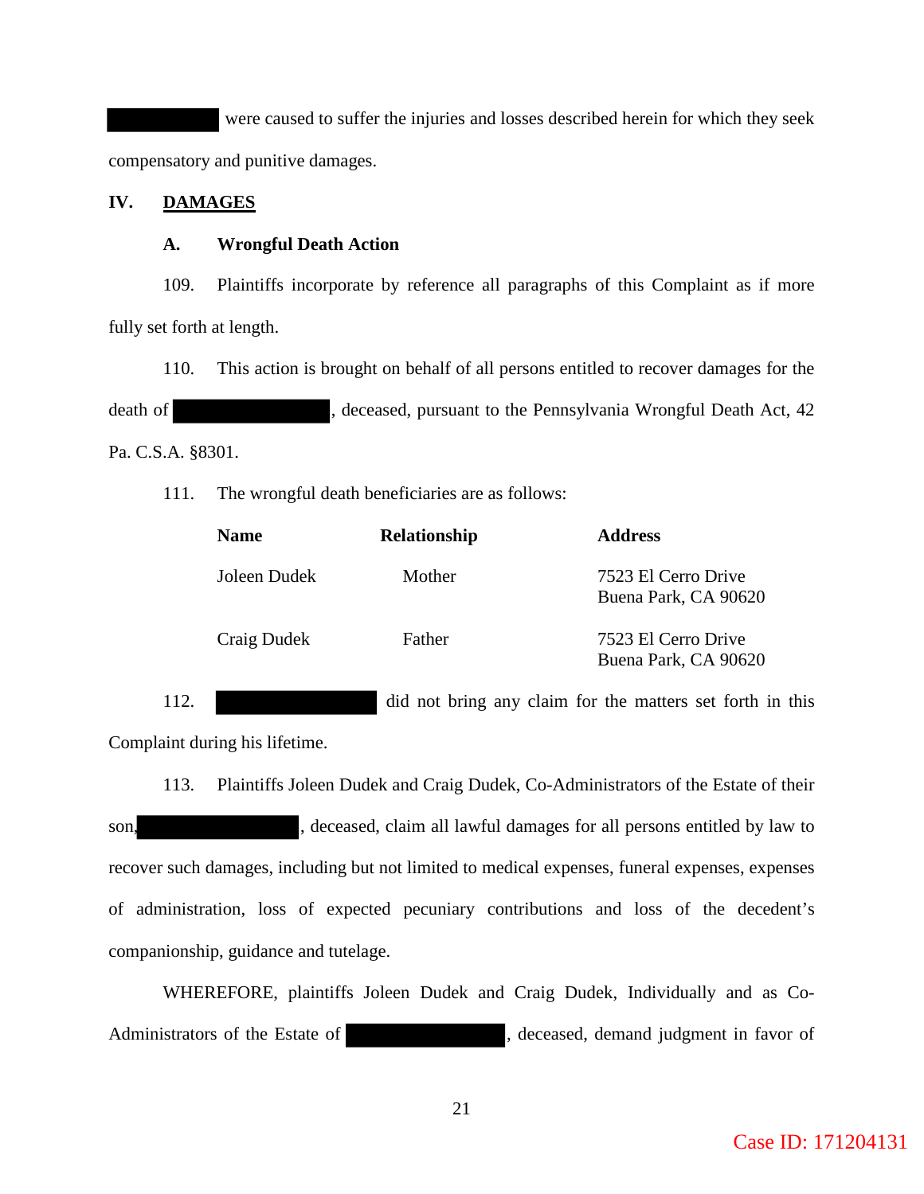were caused to suffer the injuries and losses described herein for which they seek compensatory and punitive damages.

## **IV. DAMAGES**

## **A. Wrongful Death Action**

 109. Plaintiffs incorporate by reference all paragraphs of this Complaint as if more fully set forth at length.

 110. This action is brought on behalf of all persons entitled to recover damages for the death of , deceased, pursuant to the Pennsylvania Wrongful Death Act, 42 Pa. C.S.A. §8301.

111. The wrongful death beneficiaries are as follows:

| <b>Name</b>  | Relationship | <b>Address</b>                              |
|--------------|--------------|---------------------------------------------|
| Joleen Dudek | Mother       | 7523 El Cerro Drive<br>Buena Park, CA 90620 |
| Craig Dudek  | Father       | 7523 El Cerro Drive<br>Buena Park, CA 90620 |

112. did not bring any claim for the matters set forth in this

Complaint during his lifetime.

 113. Plaintiffs Joleen Dudek and Craig Dudek, Co-Administrators of the Estate of their son, son, seceased, claim all lawful damages for all persons entitled by law to recover such damages, including but not limited to medical expenses, funeral expenses, expenses of administration, loss of expected pecuniary contributions and loss of the decedent's companionship, guidance and tutelage.

WHEREFORE, plaintiffs Joleen Dudek and Craig Dudek, Individually and as Co-Administrators of the Estate of , deceased, demand judgment in favor of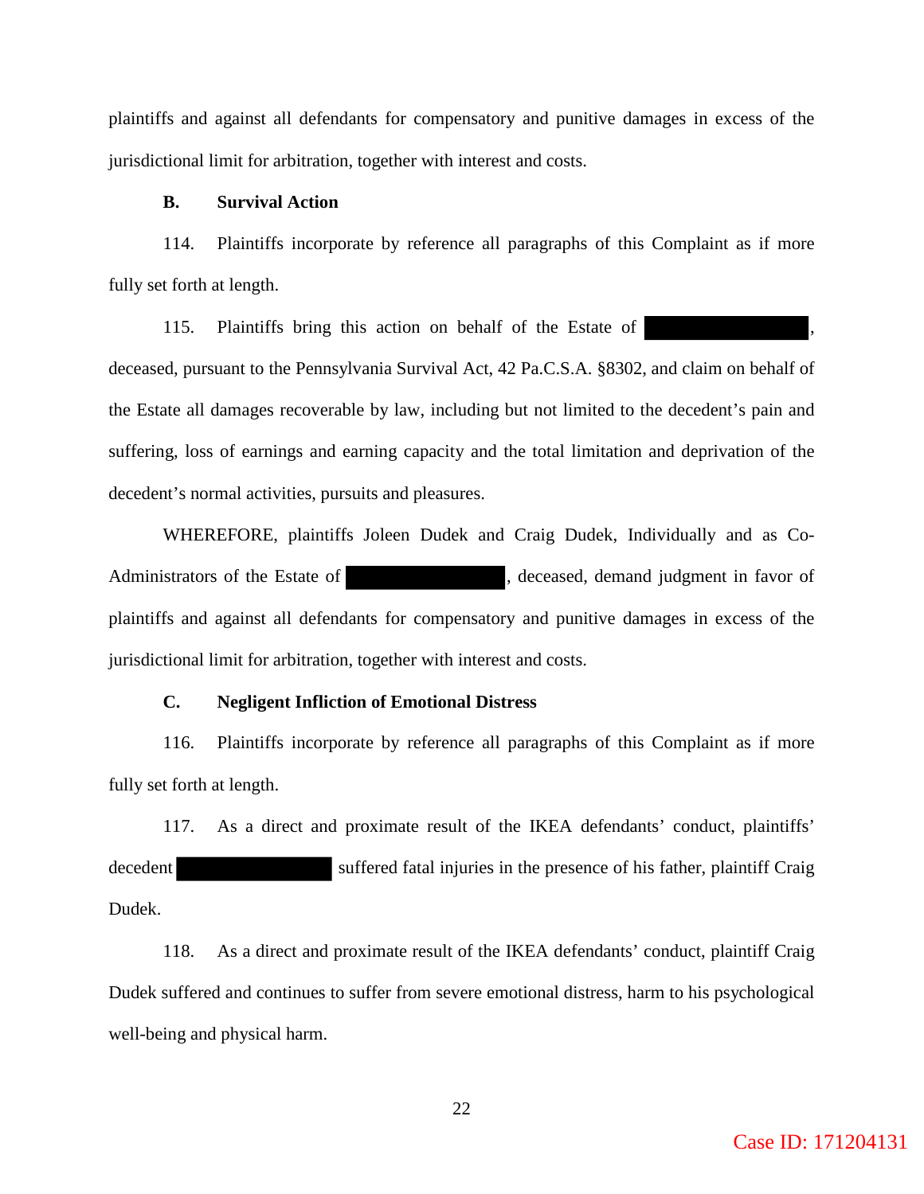plaintiffs and against all defendants for compensatory and punitive damages in excess of the jurisdictional limit for arbitration, together with interest and costs.

## **B. Survival Action**

 114. Plaintiffs incorporate by reference all paragraphs of this Complaint as if more fully set forth at length.

115. Plaintiffs bring this action on behalf of the Estate of deceased, pursuant to the Pennsylvania Survival Act, 42 Pa.C.S.A. §8302, and claim on behalf of the Estate all damages recoverable by law, including but not limited to the decedent's pain and suffering, loss of earnings and earning capacity and the total limitation and deprivation of the decedent's normal activities, pursuits and pleasures.

WHEREFORE, plaintiffs Joleen Dudek and Craig Dudek, Individually and as Co-Administrators of the Estate of , deceased, demand judgment in favor of plaintiffs and against all defendants for compensatory and punitive damages in excess of the jurisdictional limit for arbitration, together with interest and costs.

## **C. Negligent Infliction of Emotional Distress**

 116. Plaintiffs incorporate by reference all paragraphs of this Complaint as if more fully set forth at length.

 117. As a direct and proximate result of the IKEA defendants' conduct, plaintiffs' decedent suffered fatal injuries in the presence of his father, plaintiff Craig Dudek.

 118. As a direct and proximate result of the IKEA defendants' conduct, plaintiff Craig Dudek suffered and continues to suffer from severe emotional distress, harm to his psychological well-being and physical harm.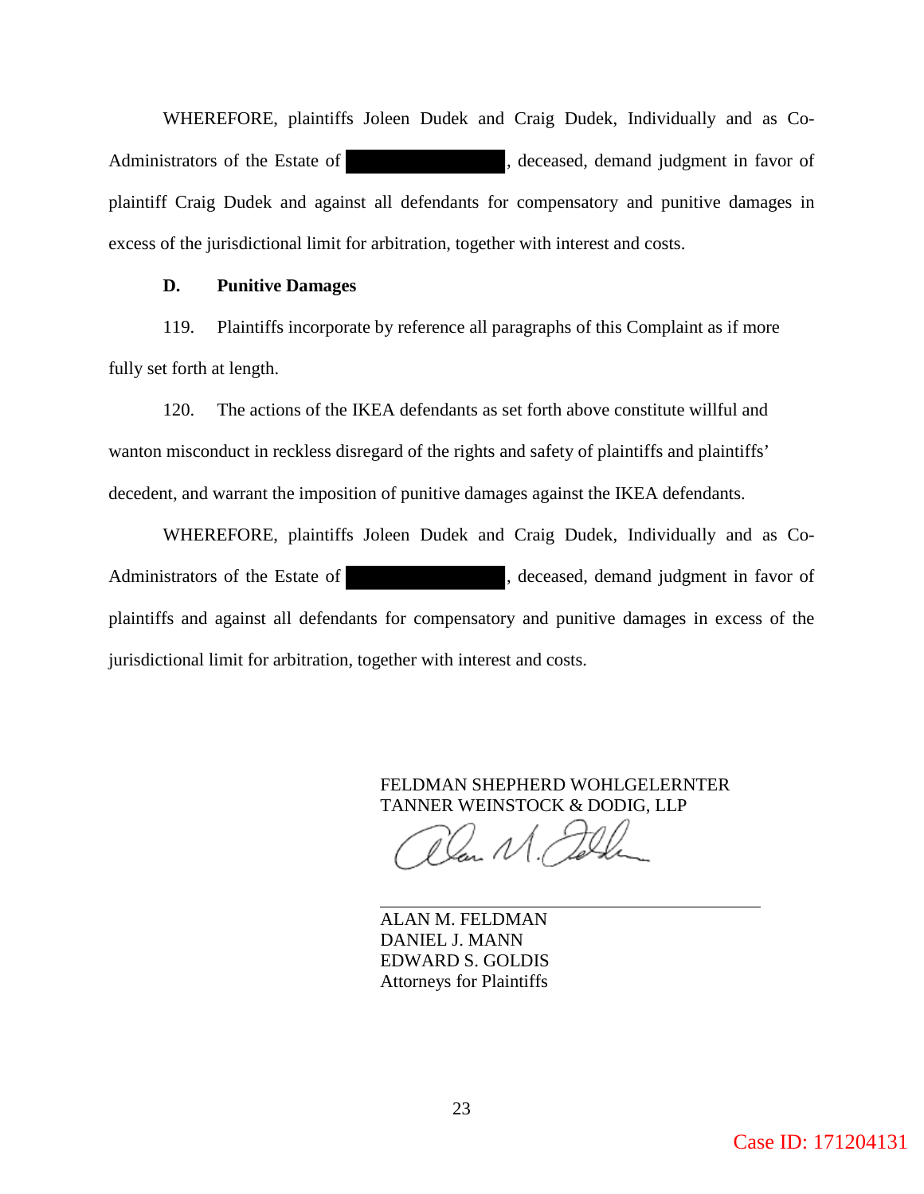WHEREFORE, plaintiffs Joleen Dudek and Craig Dudek, Individually and as Co-Administrators of the Estate of , deceased, demand judgment in favor of plaintiff Craig Dudek and against all defendants for compensatory and punitive damages in excess of the jurisdictional limit for arbitration, together with interest and costs.

## **D. Punitive Damages**

 119. Plaintiffs incorporate by reference all paragraphs of this Complaint as if more fully set forth at length.

 120. The actions of the IKEA defendants as set forth above constitute willful and wanton misconduct in reckless disregard of the rights and safety of plaintiffs and plaintiffs' decedent, and warrant the imposition of punitive damages against the IKEA defendants.

WHEREFORE, plaintiffs Joleen Dudek and Craig Dudek, Individually and as Co-Administrators of the Estate of , deceased, demand judgment in favor of plaintiffs and against all defendants for compensatory and punitive damages in excess of the jurisdictional limit for arbitration, together with interest and costs.

> FELDMAN SHEPHERD WOHLGELERNTER TANNER WEINSTOCK & DODIG, LLP

lan N

ALAN M. FELDMAN DANIEL J. MANN EDWARD S. GOLDIS Attorneys for Plaintiffs